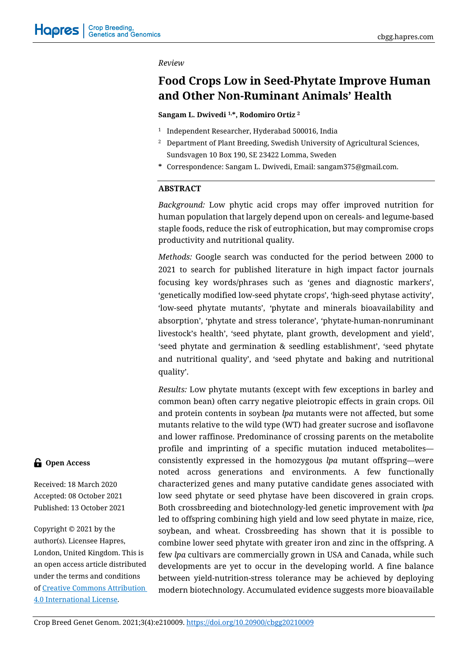#### *Review*

# **Food Crops Low in Seed-Phytate Improve Human and Other Non-Ruminant Animals' Health**

**Sangam L. Dwivedi 1,\*, Rodomiro Ortiz <sup>2</sup>**

- <sup>1</sup> Independent Researcher, Hyderabad 500016, India
- <sup>2</sup> Department of Plant Breeding, Swedish University of Agricultural Sciences, Sundsvagen 10 Box 190, SE 23422 Lomma, Sweden
- **\*** Correspondence: Sangam L. Dwivedi, Email: sangam375@gmail.com.

### **ABSTRACT**

*Background:* Low phytic acid crops may offer improved nutrition for human population that largely depend upon on cereals- and legume-based staple foods, reduce the risk of eutrophication, but may compromise crops productivity and nutritional quality.

*Methods:* Google search was conducted for the period between 2000 to 2021 to search for published literature in high impact factor journals focusing key words/phrases such as 'genes and diagnostic markers', 'genetically modified low-seed phytate crops', 'high-seed phytase activity', 'low-seed phytate mutants', 'phytate and minerals bioavailability and absorption', 'phytate and stress tolerance', 'phytate-human-nonruminant livestock's health', 'seed phytate, plant growth, development and yield', 'seed phytate and germination & seedling establishment', 'seed phytate and nutritional quality', and 'seed phytate and baking and nutritional quality'.

*Results:* Low phytate mutants (except with few exceptions in barley and common bean) often carry negative pleiotropic effects in grain crops. Oil and protein contents in soybean *lpa* mutants were not affected, but some mutants relative to the wild type (WT) had greater sucrose and isoflavone and lower raffinose. Predominance of crossing parents on the metabolite profile and imprinting of a specific mutation induced metabolites consistently expressed in the homozygous *lpa* mutant offspring—were noted across generations and environments. A few functionally characterized genes and many putative candidate genes associated with low seed phytate or seed phytase have been discovered in grain crops. Both crossbreeding and biotechnology-led genetic improvement with *lpa* led to offspring combining high yield and low seed phytate in maize, rice, soybean, and wheat. Crossbreeding has shown that it is possible to combine lower seed phytate with greater iron and zinc in the offspring. A few *lpa* cultivars are commercially grown in USA and Canada, while such developments are yet to occur in the developing world. A fine balance between yield-nutrition-stress tolerance may be achieved by deploying modern biotechnology. Accumulated evidence suggests more bioavailable

# **G** Open Access

Received: 18 March 2020 Accepted: 08 October 2021 Published: 13 October 2021

Copyright © 2021 by the author(s). Licensee Hapres, London, United Kingdom. This is an open access article distributed under the terms and conditions of [Creative Commons Attribution](https://creativecommons.org/licenses/by/4.0/)  [4.0 International License.](https://creativecommons.org/licenses/by/4.0/)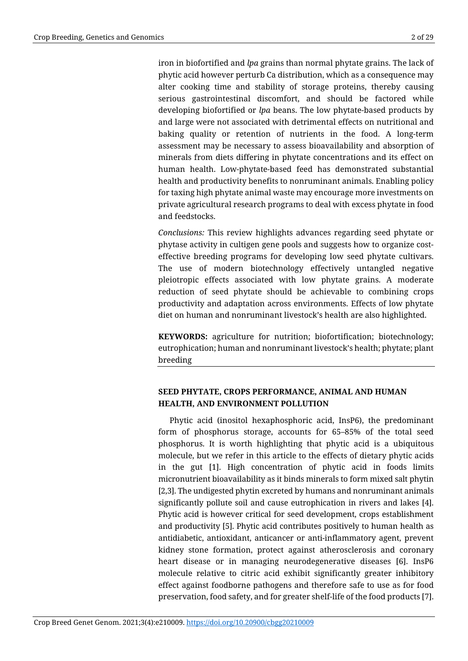iron in biofortified and *lpa* grains than normal phytate grains. The lack of phytic acid however perturb Ca distribution, which as a consequence may alter cooking time and stability of storage proteins, thereby causing serious gastrointestinal discomfort, and should be factored while developing biofortified or *lpa* beans. The low phytate-based products by and large were not associated with detrimental effects on nutritional and baking quality or retention of nutrients in the food. A long-term assessment may be necessary to assess bioavailability and absorption of minerals from diets differing in phytate concentrations and its effect on human health. Low-phytate-based feed has demonstrated substantial health and productivity benefits to nonruminant animals. Enabling policy for taxing high phytate animal waste may encourage more investments on private agricultural research programs to deal with excess phytate in food and feedstocks.

*Conclusions:* This review highlights advances regarding seed phytate or phytase activity in cultigen gene pools and suggests how to organize costeffective breeding programs for developing low seed phytate cultivars. The use of modern biotechnology effectively untangled negative pleiotropic effects associated with low phytate grains. A moderate reduction of seed phytate should be achievable to combining crops productivity and adaptation across environments. Effects of low phytate diet on human and nonruminant livestock's health are also highlighted.

**KEYWORDS:** agriculture for nutrition; biofortification; biotechnology; eutrophication; human and nonruminant livestock's health; phytate; plant breeding

# **SEED PHYTATE, CROPS PERFORMANCE, ANIMAL AND HUMAN HEALTH, AND ENVIRONMENT POLLUTION**

Phytic acid (inositol hexaphosphoric acid, InsP6), the predominant form of phosphorus storage, accounts for 65–85% of the total seed phosphorus. It is worth highlighting that phytic acid is a ubiquitous molecule, but we refer in this article to the effects of dietary phytic acids in the gut [1]. High concentration of phytic acid in foods limits micronutrient bioavailability as it binds minerals to form mixed salt phytin [2,3]. The undigested phytin excreted by humans and nonruminant animals significantly pollute soil and cause eutrophication in rivers and lakes [4]. Phytic acid is however critical for seed development, crops establishment and productivity [5]. Phytic acid contributes positively to human health as antidiabetic, antioxidant, anticancer or anti-inflammatory agent, prevent kidney stone formation, protect against atherosclerosis and coronary heart disease or in managing neurodegenerative diseases [6]. InsP6 molecule relative to citric acid exhibit significantly greater inhibitory effect against foodborne pathogens and therefore safe to use as for food preservation, food safety, and for greater shelf-life of the food products [7].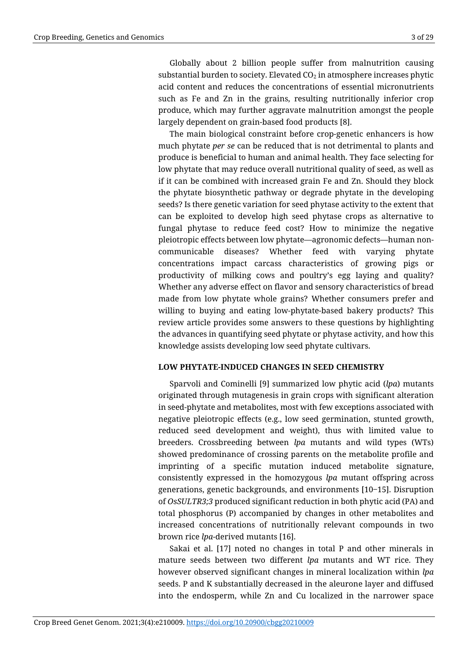Globally about 2 billion people suffer from malnutrition causing substantial burden to society. Elevated  $CO<sub>2</sub>$  in atmosphere increases phytic acid content and reduces the concentrations of essential micronutrients such as Fe and Zn in the grains, resulting nutritionally inferior crop produce, which may further aggravate malnutrition amongst the people largely dependent on grain-based food products [8].

The main biological constraint before crop-genetic enhancers is how much phytate *per se* can be reduced that is not detrimental to plants and produce is beneficial to human and animal health. They face selecting for low phytate that may reduce overall nutritional quality of seed, as well as if it can be combined with increased grain Fe and Zn. Should they block the phytate biosynthetic pathway or degrade phytate in the developing seeds? Is there genetic variation for seed phytase activity to the extent that can be exploited to develop high seed phytase crops as alternative to fungal phytase to reduce feed cost? How to minimize the negative pleiotropic effects between low phytate—agronomic defects—human noncommunicable diseases? Whether feed with varying phytate concentrations impact carcass characteristics of growing pigs or productivity of milking cows and poultry's egg laying and quality? Whether any adverse effect on flavor and sensory characteristics of bread made from low phytate whole grains? Whether consumers prefer and willing to buying and eating low-phytate-based bakery products? This review article provides some answers to these questions by highlighting the advances in quantifying seed phytate or phytase activity, and how this knowledge assists developing low seed phytate cultivars.

#### **LOW PHYTATE-INDUCED CHANGES IN SEED CHEMISTRY**

Sparvoli and Cominelli [9] summarized low phytic acid (*lpa*) mutants originated through mutagenesis in grain crops with significant alteration in seed-phytate and metabolites, most with few exceptions associated with negative pleiotropic effects (e.g., low seed germination, stunted growth, reduced seed development and weight), thus with limited value to breeders. Crossbreeding between *lpa* mutants and wild types (WTs) showed predominance of crossing parents on the metabolite profile and imprinting of a specific mutation induced metabolite signature, consistently expressed in the homozygous *lpa* mutant offspring across generations, genetic backgrounds, and environments [10‒15]. Disruption of *OsSULTR3;3* produced significant reduction in both phytic acid (PA) and total phosphorus (P) accompanied by changes in other metabolites and increased concentrations of nutritionally relevant compounds in two brown rice *lpa*-derived mutants [16].

Sakai et al. [17] noted no changes in total P and other minerals in mature seeds between two different *lpa* mutants and WT rice. They however observed significant changes in mineral localization within *lpa* seeds. P and K substantially decreased in the aleurone layer and diffused into the endosperm, while Zn and Cu localized in the narrower space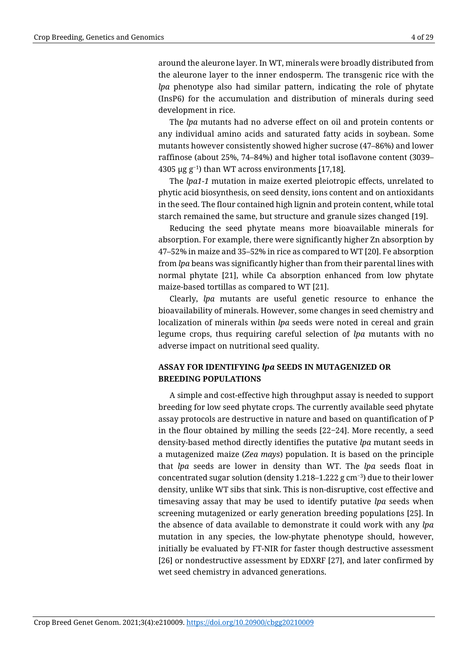the aleurone layer to the inner endosperm. The transgenic rice with the *lpa* phenotype also had similar pattern, indicating the role of phytate (InsP6) for the accumulation and distribution of minerals during seed development in rice.

The *lpa* mutants had no adverse effect on oil and protein contents or any individual amino acids and saturated fatty acids in soybean. Some mutants however consistently showed higher sucrose (47–86%) and lower raffinose (about 25%, 74–84%) and higher total isoflavone content (3039– 4305 µg g<sup>−</sup>1) than WT across environments [17,18].

The *lpa1-1* mutation in maize exerted pleiotropic effects, unrelated to phytic acid biosynthesis, on seed density, ions content and on antioxidants in the seed. The flour contained high lignin and protein content, while total starch remained the same, but structure and granule sizes changed [19].

Reducing the seed phytate means more bioavailable minerals for absorption. For example, there were significantly higher Zn absorption by 47–52% in maize and 35–52% in rice as compared to WT [20]. Fe absorption from *lpa* beans was significantly higher than from their parental lines with normal phytate [21], while Ca absorption enhanced from low phytate maize-based tortillas as compared to WT [21].

Clearly, *lpa* mutants are useful genetic resource to enhance the bioavailability of minerals. However, some changes in seed chemistry and localization of minerals within *lpa* seeds were noted in cereal and grain legume crops, thus requiring careful selection of *lpa* mutants with no adverse impact on nutritional seed quality.

# **ASSAY FOR IDENTIFYING** *lpa* **SEEDS IN MUTAGENIZED OR BREEDING POPULATIONS**

A simple and cost-effective high throughput assay is needed to support breeding for low seed phytate crops. The currently available seed phytate assay protocols are destructive in nature and based on quantification of P in the flour obtained by milling the seeds [22‒24]. More recently, a seed density-based method directly identifies the putative *lpa* mutant seeds in a mutagenized maize (*Zea mays*) population. It is based on the principle that *lpa* seeds are lower in density than WT. The *lpa* seeds float in concentrated sugar solution (density 1.218–1.222 g cm<sup>-3</sup>) due to their lower density, unlike WT sibs that sink. This is non-disruptive, cost effective and timesaving assay that may be used to identify putative *lpa* seeds when screening mutagenized or early generation breeding populations [25]. In the absence of data available to demonstrate it could work with any *lpa* mutation in any species, the low-phytate phenotype should, however, initially be evaluated by FT-NIR for faster though destructive assessment [26] or nondestructive assessment by EDXRF [27], and later confirmed by wet seed chemistry in advanced generations.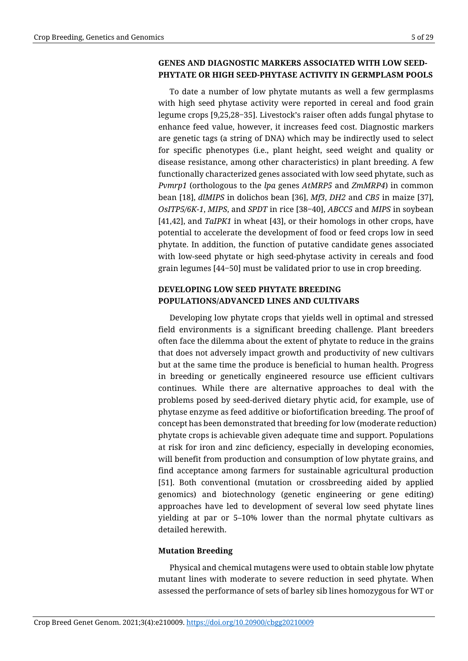## **GENES AND DIAGNOSTIC MARKERS ASSOCIATED WITH LOW SEED-PHYTATE OR HIGH SEED-PHYTASE ACTIVITY IN GERMPLASM POOLS**

To date a number of low phytate mutants as well a few germplasms with high seed phytase activity were reported in cereal and food grain legume crops [9,25,28–35]. Livestock's raiser often adds fungal phytase to enhance feed value, however, it increases feed cost. Diagnostic markers are genetic tags (a string of DNA) which may be indirectly used to select for specific phenotypes (i.e., plant height, seed weight and quality or disease resistance, among other characteristics) in plant breeding. A few functionally characterized genes associated with low seed phytate, such as *Pvmrp1* (orthologous to the *lpa* genes *AtMRP5* and *ZmMRP4*) in common bean [18], *dlMIPS* in dolichos bean [36], *Mf3*, *DH2* and *CB5* in maize [37], *OsITP5/6K-1*, *MIPS*, and *SPDT* in rice [38‒40], *ABCC5* and *MIPS* in soybean [41,42], and *TaIPK1* in wheat [43], or their homologs in other crops, have potential to accelerate the development of food or feed crops low in seed phytate. In addition, the function of putative candidate genes associated with low-seed phytate or high seed-phytase activity in cereals and food grain legumes [44‒50] must be validated prior to use in crop breeding.

# **DEVELOPING LOW SEED PHYTATE BREEDING POPULATIONS/ADVANCED LINES AND CULTIVARS**

Developing low phytate crops that yields well in optimal and stressed field environments is a significant breeding challenge. Plant breeders often face the dilemma about the extent of phytate to reduce in the grains that does not adversely impact growth and productivity of new cultivars but at the same time the produce is beneficial to human health. Progress in breeding or genetically engineered resource use efficient cultivars continues. While there are alternative approaches to deal with the problems posed by seed-derived dietary phytic acid, for example, use of phytase enzyme as feed additive or biofortification breeding. The proof of concept has been demonstrated that breeding for low (moderate reduction) phytate crops is achievable given adequate time and support. Populations at risk for iron and zinc deficiency, especially in developing economies, will benefit from production and consumption of low phytate grains, and find acceptance among farmers for sustainable agricultural production [51]. Both conventional (mutation or crossbreeding aided by applied genomics) and biotechnology (genetic engineering or gene editing) approaches have led to development of several low seed phytate lines yielding at par or 5–10% lower than the normal phytate cultivars as detailed herewith.

### **Mutation Breeding**

Physical and chemical mutagens were used to obtain stable low phytate mutant lines with moderate to severe reduction in seed phytate. When assessed the performance of sets of barley sib lines homozygous for WT or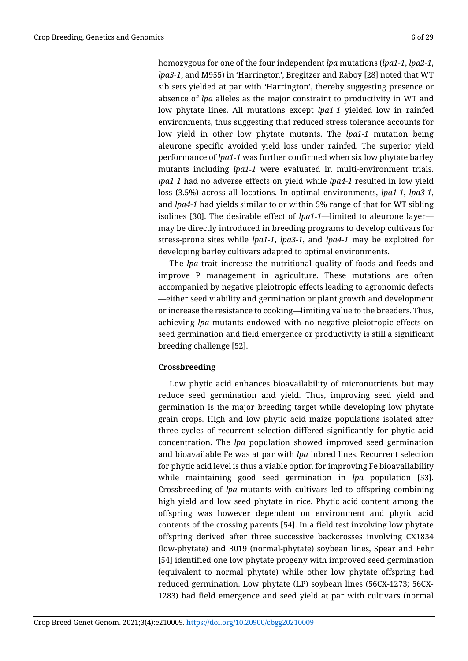homozygous for one of the four independent *lpa* mutations (*lpa1‐1*, *lpa2‐1*, *lpa3‐1*, and M955) in 'Harrington', Bregitzer and Raboy [28] noted that WT sib sets yielded at par with 'Harrington', thereby suggesting presence or absence of *lpa* alleles as the major constraint to productivity in WT and low phytate lines. All mutations except *lpa1‐1* yielded low in rainfed environments, thus suggesting that reduced stress tolerance accounts for low yield in other low phytate mutants. The *lpa1-1* mutation being aleurone specific avoided yield loss under rainfed. The superior yield performance of *lpa1‐1* was further confirmed when six low phytate barley mutants including *lpa1‐1* were evaluated in multi-environment trials. *lpa1‐1* had no adverse effects on yield while *lpa4-1* resulted in low yield loss (3.5%) across all locations. In optimal environments, *lpa1-1*, *lpa3-1*, and *lpa4-1* had yields similar to or within 5% range of that for WT sibling isolines [30]. The desirable effect of *lpa1‐1*—limited to aleurone layer may be directly introduced in breeding programs to develop cultivars for stress-prone sites while *lpa1-1*, *lpa3-1*, and *lpa4-1* may be exploited for developing barley cultivars adapted to optimal environments.

The *lpa* trait increase the nutritional quality of foods and feeds and improve P management in agriculture. These mutations are often accompanied by negative pleiotropic effects leading to agronomic defects —either seed viability and germination or plant growth and development or increase the resistance to cooking—limiting value to the breeders. Thus, achieving *lpa* mutants endowed with no negative pleiotropic effects on seed germination and field emergence or productivity is still a significant breeding challenge [52].

#### **Crossbreeding**

Low phytic acid enhances bioavailability of micronutrients but may reduce seed germination and yield. Thus, improving seed yield and germination is the major breeding target while developing low phytate grain crops. High and low phytic acid maize populations isolated after three cycles of recurrent selection differed significantly for phytic acid concentration. The *lpa* population showed improved seed germination and bioavailable Fe was at par with *lpa* inbred lines. Recurrent selection for phytic acid level is thus a viable option for improving Fe bioavailability while maintaining good seed germination in *lpa* population [53]. Crossbreeding of *lpa* mutants with cultivars led to offspring combining high yield and low seed phytate in rice. Phytic acid content among the offspring was however dependent on environment and phytic acid contents of the crossing parents [54]. In a field test involving low phytate offspring derived after three successive backcrosses involving CX1834 (low-phytate) and B019 (normal-phytate) soybean lines, Spear and Fehr [54] identified one low phytate progeny with improved seed germination (equivalent to normal phytate) while other low phytate offspring had reduced germination. Low phytate (LP) soybean lines (56CX-1273; 56CX-1283) had field emergence and seed yield at par with cultivars (normal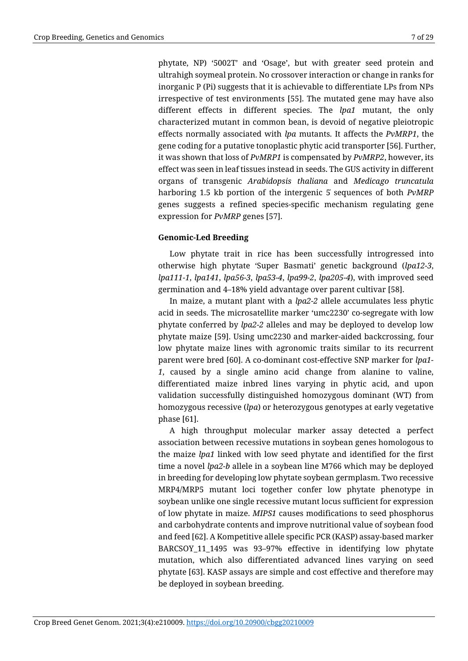phytate, NP) '5002T' and 'Osage', but with greater seed protein and ultrahigh soymeal protein. No crossover interaction or change in ranks for inorganic P (Pi) suggests that it is achievable to differentiate LPs from NPs irrespective of test environments [55]. The mutated gene may have also different effects in different species. The *lpa1* mutant, the only characterized mutant in common bean, is devoid of negative pleiotropic effects normally associated with *lpa* mutants. It affects the *PvMRP1*, the gene coding for a putative tonoplastic phytic acid transporter [56]. Further, it was shown that loss of *PvMRP1* is compensated by *PvMRP2*, however, its effect was seen in leaf tissues instead in seeds. The GUS activity in different organs of transgenic *Arabidopsis thaliana* and *Medicago truncatula* harboring 1.5 kb portion of the intergenic 5ˈ sequences of both *PvMRP* genes suggests a refined species-specific mechanism regulating gene expression for *PvMRP* genes [57].

### **Genomic-Led Breeding**

Low phytate trait in rice has been successfully introgressed into otherwise high phytate 'Super Basmati' genetic background (*lpa12-3*, *lpa111-1*, *lpa141*, *lpa56-3*, *lpa53-4*, *lpa99-2*, *lpa205-4*), with improved seed germination and 4–18% yield advantage over parent cultivar [58].

In maize, a mutant plant with a *lpa2-2* allele accumulates less phytic acid in seeds. The microsatellite marker 'umc2230' co-segregate with low phytate conferred by *lpa2-2* alleles and may be deployed to develop low phytate maize [59]. Using umc2230 and marker-aided backcrossing, four low phytate maize lines with agronomic traits similar to its recurrent parent were bred [60]. A co-dominant cost-effective SNP marker for *lpa1- 1*, caused by a single amino acid change from alanine to valine, differentiated maize inbred lines varying in phytic acid, and upon validation successfully distinguished homozygous dominant (WT) from homozygous recessive (*lpa*) or heterozygous genotypes at early vegetative phase [61].

A high throughput molecular marker assay detected a perfect association between recessive mutations in soybean genes homologous to the maize *lpa1* linked with low seed phytate and identified for the first time a novel *lpa2-b* allele in a soybean line M766 which may be deployed in breeding for developing low phytate soybean germplasm. Two recessive MRP4/MRP5 mutant loci together confer low phytate phenotype in soybean unlike one single recessive mutant locus sufficient for expression of low phytate in maize. *MIPS1* causes modifications to seed phosphorus and carbohydrate contents and improve nutritional value of soybean food and feed [62]. A Kompetitive allele specific PCR (KASP) assay-based marker BARCSOY\_11\_1495 was 93–97% effective in identifying low phytate mutation, which also differentiated advanced lines varying on seed phytate [63]. KASP assays are simple and cost effective and therefore may be deployed in soybean breeding.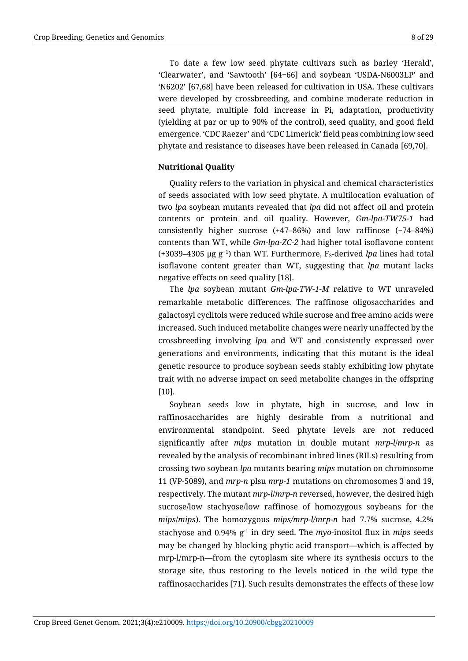To date a few low seed phytate cultivars such as barley 'Herald', 'Clearwater', and 'Sawtooth' [64‒66] and soybean 'USDA-N6003LP' and 'N6202' [67,68] have been released for cultivation in USA. These cultivars were developed by crossbreeding, and combine moderate reduction in seed phytate, multiple fold increase in Pi, adaptation, productivity (yielding at par or up to 90% of the control), seed quality, and good field emergence. 'CDC Raezer' and 'CDC Limerick' field peas combining low seed phytate and resistance to diseases have been released in Canada [69,70].

### **Nutritional Quality**

Quality refers to the variation in physical and chemical characteristics of seeds associated with low seed phytate. A multilocation evaluation of two *lpa* soybean mutants revealed that *lpa* did not affect oil and protein contents or protein and oil quality. However, *Gm-lpa-TW75-1* had consistently higher sucrose (+47–86%) and low raffinose (−74–84%) contents than WT, while *Gm-lpa-ZC-2* had higher total isoflavone content (+3039–4305 µg g<sup>−</sup>1) than WT. Furthermore, F3-derived *lpa* lines had total isoflavone content greater than WT, suggesting that *lpa* mutant lacks negative effects on seed quality [18].

The *lpa* soybean mutant *Gm-lpa-TW-1-M* relative to WT unraveled remarkable metabolic differences. The raffinose oligosaccharides and galactosyl cyclitols were reduced while sucrose and free amino acids were increased. Such induced metabolite changes were nearly unaffected by the crossbreeding involving *lpa* and WT and consistently expressed over generations and environments, indicating that this mutant is the ideal genetic resource to produce soybean seeds stably exhibiting low phytate trait with no adverse impact on seed metabolite changes in the offspring [10].

Soybean seeds low in phytate, high in sucrose, and low in raffinosaccharides are highly desirable from a nutritional and environmental standpoint. Seed phytate levels are not reduced significantly after *mips* mutation in double mutant *mrp-l*/*mrp-n* as revealed by the analysis of recombinant inbred lines (RILs) resulting from crossing two soybean *lpa* mutants bearing *mips* mutation on chromosome 11 (VP-5089), and *mrp-n* plsu *mrp-1* mutations on chromosomes 3 and 19, respectively. The mutant *mrp-l*/*mrp-n* reversed, however, the desired high sucrose/low stachyose/low raffinose of homozygous soybeans for the *mips*/*mips*). The homozygous *mips/mrp-l/mrp-n* had 7.7% sucrose, 4.2% stachyose and 0.94% g-1 in dry seed. The *myo*-inositol flux in *mips* seeds may be changed by blocking phytic acid transport—which is affected by mrp-l/mrp-n—from the cytoplasm site where its synthesis occurs to the storage site, thus restoring to the levels noticed in the wild type the raffinosaccharides [71]. Such results demonstrates the effects of these low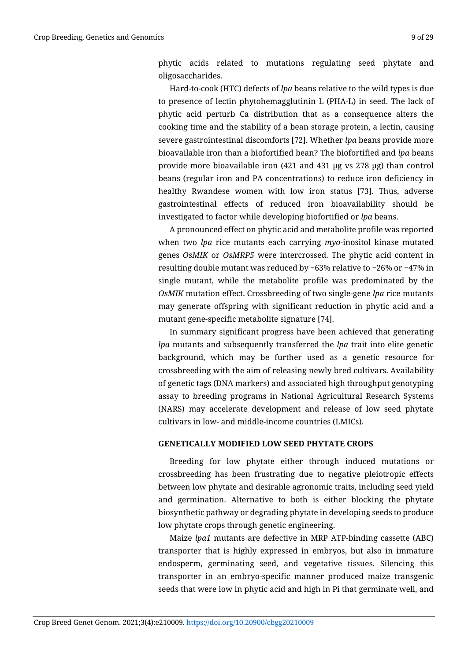phytic acids related to mutations regulating seed phytate and oligosaccharides.

Hard-to-cook (HTC) defects of *lpa* beans relative to the wild types is due to presence of lectin phytohemagglutinin L (PHA-L) in seed. The lack of phytic acid perturb Ca distribution that as a consequence alters the cooking time and the stability of a bean storage protein, a lectin, causing severe gastrointestinal discomforts [72]. Whether *lpa* beans provide more bioavailable iron than a biofortified bean? The biofortified and *lpa* beans provide more bioavailable iron (421 and 431 µg vs 278 µg) than control beans (regular iron and PA concentrations) to reduce iron deficiency in healthy Rwandese women with low iron status [73]. Thus, adverse gastrointestinal effects of reduced iron bioavailability should be investigated to factor while developing biofortified or *lpa* beans.

A pronounced effect on phytic acid and metabolite profile was reported when two *lpa* rice mutants each carrying *myo*-inositol kinase mutated genes *OsMIK* or *OsMRP5* were intercrossed. The phytic acid content in resulting double mutant was reduced by −63% relative to −26% or −47% in single mutant, while the metabolite profile was predominated by the *OsMIK* mutation effect. Crossbreeding of two single-gene *lpa* rice mutants may generate offspring with significant reduction in phytic acid and a mutant gene-specific metabolite signature [74].

In summary significant progress have been achieved that generating *lpa* mutants and subsequently transferred the *lpa* trait into elite genetic background, which may be further used as a genetic resource for crossbreeding with the aim of releasing newly bred cultivars. Availability of genetic tags (DNA markers) and associated high throughput genotyping assay to breeding programs in National Agricultural Research Systems (NARS) may accelerate development and release of low seed phytate cultivars in low- and middle-income countries (LMICs).

#### **GENETICALLY MODIFIED LOW SEED PHYTATE CROPS**

Breeding for low phytate either through induced mutations or crossbreeding has been frustrating due to negative pleiotropic effects between low phytate and desirable agronomic traits, including seed yield and germination. Alternative to both is either blocking the phytate biosynthetic pathway or degrading phytate in developing seeds to produce low phytate crops through genetic engineering.

Maize *lpa1* mutants are defective in MRP ATP-binding cassette (ABC) transporter that is highly expressed in embryos, but also in immature endosperm, germinating seed, and vegetative tissues. Silencing this transporter in an embryo-specific manner produced maize transgenic seeds that were low in phytic acid and high in Pi that germinate well, and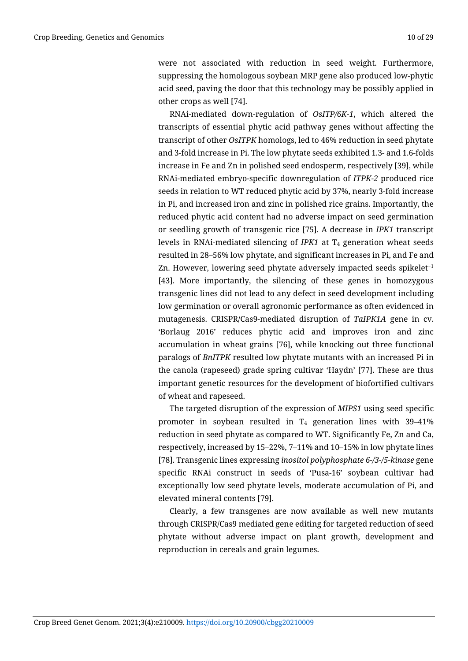were not associated with reduction in seed weight. Furthermore, suppressing the homologous soybean MRP gene also produced low-phytic acid seed, paving the door that this technology may be possibly applied in other crops as well [74].

RNAi-mediated down-regulation of *OsITP/6K-1*, which altered the transcripts of essential phytic acid pathway genes without affecting the transcript of other *OsITPK* homologs, led to 46% reduction in seed phytate and 3-fold increase in Pi. The low phytate seeds exhibited 1.3- and 1.6-folds increase in Fe and Zn in polished seed endosperm, respectively [39], while RNAi-mediated embryo-specific downregulation of *ITPK-2* produced rice seeds in relation to WT reduced phytic acid by 37%, nearly 3-fold increase in Pi, and increased iron and zinc in polished rice grains. Importantly, the reduced phytic acid content had no adverse impact on seed germination or seedling growth of transgenic rice [75]. A decrease in *IPK1* transcript levels in RNAi-mediated silencing of *IPK1* at T<sub>4</sub> generation wheat seeds resulted in 28–56% low phytate, and significant increases in Pi, and Fe and Zn. However, lowering seed phytate adversely impacted seeds spikelet<sup>−</sup><sup>1</sup> [43]. More importantly, the silencing of these genes in homozygous transgenic lines did not lead to any defect in seed development including low germination or overall agronomic performance as often evidenced in mutagenesis. CRISPR/Cas9-mediated disruption of *TaIPK1A* gene in cv. 'Borlaug 2016' reduces phytic acid and improves iron and zinc accumulation in wheat grains [76], while knocking out three functional paralogs of *BnITPK* resulted low phytate mutants with an increased Pi in the canola (rapeseed) grade spring cultivar 'Haydn' [77]. These are thus important genetic resources for the development of biofortified cultivars of wheat and rapeseed.

The targeted disruption of the expression of *MIPS1* using seed specific promoter in soybean resulted in  $T_4$  generation lines with 39-41% reduction in seed phytate as compared to WT. Significantly Fe, Zn and Ca, respectively, increased by 15–22%, 7–11% and 10–15% in low phytate lines [78]. Transgenic lines expressing *inositol polyphosphate 6-/3-/5-kinase* gene specific RNAi construct in seeds of 'Pusa-16' soybean cultivar had exceptionally low seed phytate levels, moderate accumulation of Pi, and elevated mineral contents [79].

Clearly, a few transgenes are now available as well new mutants through CRISPR/Cas9 mediated gene editing for targeted reduction of seed phytate without adverse impact on plant growth, development and reproduction in cereals and grain legumes.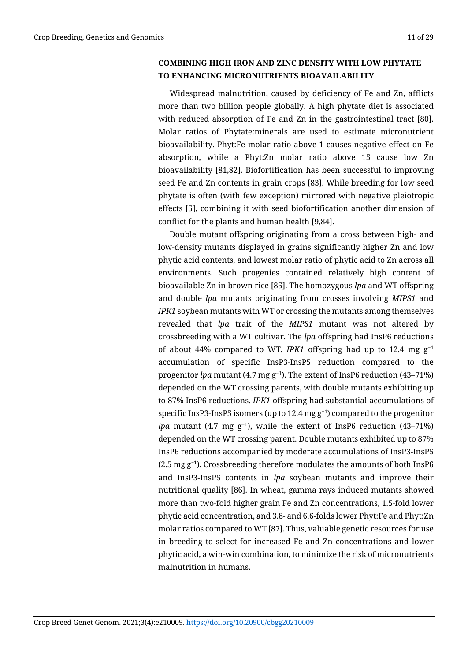# **COMBINING HIGH IRON AND ZINC DENSITY WITH LOW PHYTATE TO ENHANCING MICRONUTRIENTS BIOAVAILABILITY**

Widespread malnutrition, caused by deficiency of Fe and Zn, afflicts more than two billion people globally. A high phytate diet is associated with reduced absorption of Fe and Zn in the gastrointestinal tract [80]. Molar ratios of Phytate:minerals are used to estimate micronutrient bioavailability. Phyt:Fe molar ratio above 1 causes negative effect on Fe absorption, while a Phyt:Zn molar ratio above 15 cause low Zn bioavailability [81,82]. Biofortification has been successful to improving seed Fe and Zn contents in grain crops [83]. While breeding for low seed phytate is often (with few exception) mirrored with negative pleiotropic effects [5], combining it with seed biofortification another dimension of conflict for the plants and human health [9,84].

Double mutant offspring originating from a cross between high- and low-density mutants displayed in grains significantly higher Zn and low phytic acid contents, and lowest molar ratio of phytic acid to Zn across all environments. Such progenies contained relatively high content of bioavailable Zn in brown rice [85]. The homozygous *lpa* and WT offspring and double *lpa* mutants originating from crosses involving *MIPS1* and *IPK1* soybean mutants with WT or crossing the mutants among themselves revealed that *lpa* trait of the *MIPS1* mutant was not altered by crossbreeding with a WT cultivar. The *lpa* offspring had InsP6 reductions of about 44% compared to WT. *IPK1* offspring had up to 12.4 mg g<sup>−</sup><sup>1</sup> accumulation of specific InsP3-InsP5 reduction compared to the progenitor *lpa* mutant (4.7 mg g<sup>−</sup>1). The extent of InsP6 reduction (43–71%) depended on the WT crossing parents, with double mutants exhibiting up to 87% InsP6 reductions. *IPK1* offspring had substantial accumulations of specific InsP3-InsP5 isomers (up to 12.4 mg g<sup>-1</sup>) compared to the progenitor *lpa* mutant (4.7 mg g<sup>-1</sup>), while the extent of InsP6 reduction (43–71%) depended on the WT crossing parent. Double mutants exhibited up to 87% InsP6 reductions accompanied by moderate accumulations of InsP3-InsP5 (2.5 mg g<sup>−</sup>1). Crossbreeding therefore modulates the amounts of both InsP6 and InsP3-InsP5 contents in *lpa* soybean mutants and improve their nutritional quality [86]. In wheat, gamma rays induced mutants showed more than two-fold higher grain Fe and Zn concentrations, 1.5-fold lower phytic acid concentration, and 3.8- and 6.6-folds lower Phyt:Fe and Phyt:Zn molar ratios compared to WT [87]. Thus, valuable genetic resources for use in breeding to select for increased Fe and Zn concentrations and lower phytic acid, a win-win combination, to minimize the risk of micronutrients malnutrition in humans.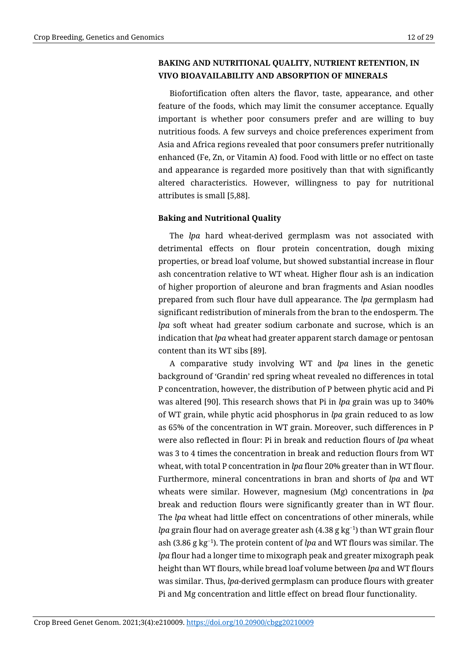# **BAKING AND NUTRITIONAL QUALITY, NUTRIENT RETENTION, IN VIVO BIOAVAILABILITY AND ABSORPTION OF MINERALS**

Biofortification often alters the flavor, taste, appearance, and other feature of the foods, which may limit the consumer acceptance. Equally important is whether poor consumers prefer and are willing to buy nutritious foods. A few surveys and choice preferences experiment from Asia and Africa regions revealed that poor consumers prefer nutritionally enhanced (Fe, Zn, or Vitamin A) food. Food with little or no effect on taste and appearance is regarded more positively than that with significantly altered characteristics. However, willingness to pay for nutritional attributes is small [5,88].

# **Baking and Nutritional Quality**

The *lpa* hard wheat-derived germplasm was not associated with detrimental effects on flour protein concentration, dough mixing properties, or bread loaf volume, but showed substantial increase in flour ash concentration relative to WT wheat. Higher flour ash is an indication of higher proportion of aleurone and bran fragments and Asian noodles prepared from such flour have dull appearance. The *lpa* germplasm had significant redistribution of minerals from the bran to the endosperm. The *lpa* soft wheat had greater sodium carbonate and sucrose, which is an indication that *lpa* wheat had greater apparent starch damage or pentosan content than its WT sibs [89].

A comparative study involving WT and *lpa* lines in the genetic background of 'Grandin' red spring wheat revealed no differences in total P concentration, however, the distribution of P between phytic acid and Pi was altered [90]. This research shows that Pi in *lpa* grain was up to 340% of WT grain, while phytic acid phosphorus in *lpa* grain reduced to as low as 65% of the concentration in WT grain. Moreover, such differences in P were also reflected in flour: Pi in break and reduction flours of *lpa* wheat was 3 to 4 times the concentration in break and reduction flours from WT wheat, with total P concentration in *lpa* flour 20% greater than in WT flour. Furthermore, mineral concentrations in bran and shorts of *lpa* and WT wheats were similar. However, magnesium (Mg) concentrations in *lpa* break and reduction flours were significantly greater than in WT flour. The *lpa* wheat had little effect on concentrations of other minerals, while *lpa* grain flour had on average greater ash (4.38 g kg<sup>-1</sup>) than WT grain flour ash (3.86 g kg<sup>−</sup>1). The protein content of *lpa* and WT flours was similar. The *lpa* flour had a longer time to mixograph peak and greater mixograph peak height than WT flours, while bread loaf volume between *lpa* and WT flours was similar. Thus, *lpa*-derived germplasm can produce flours with greater Pi and Mg concentration and little effect on bread flour functionality.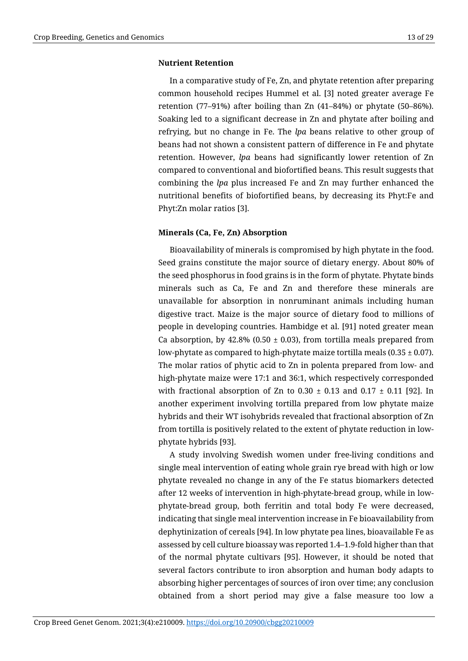#### **Nutrient Retention**

In a comparative study of Fe, Zn, and phytate retention after preparing common household recipes Hummel et al. [3] noted greater average Fe retention (77–91%) after boiling than Zn (41–84%) or phytate (50–86%). Soaking led to a significant decrease in Zn and phytate after boiling and refrying, but no change in Fe. The *lpa* beans relative to other group of beans had not shown a consistent pattern of difference in Fe and phytate retention. However, *lpa* beans had significantly lower retention of Zn compared to conventional and biofortified beans. This result suggests that combining the *lpa* plus increased Fe and Zn may further enhanced the nutritional benefits of biofortified beans, by decreasing its Phyt:Fe and Phyt:Zn molar ratios [3].

#### **Minerals (Ca, Fe, Zn) Absorption**

Bioavailability of minerals is compromised by high phytate in the food. Seed grains constitute the major source of dietary energy. About 80% of the seed phosphorus in food grains is in the form of phytate. Phytate binds minerals such as Ca, Fe and Zn and therefore these minerals are unavailable for absorption in nonruminant animals including human digestive tract. Maize is the major source of dietary food to millions of people in developing countries. Hambidge et al. [91] noted greater mean Ca absorption, by 42.8% (0.50  $\pm$  0.03), from tortilla meals prepared from low-phytate as compared to high-phytate maize tortilla meals  $(0.35 \pm 0.07)$ . The molar ratios of phytic acid to Zn in polenta prepared from low- and high-phytate maize were 17:1 and 36:1, which respectively corresponded with fractional absorption of Zn to  $0.30 \pm 0.13$  and  $0.17 \pm 0.11$  [92]. In another experiment involving tortilla prepared from low phytate maize hybrids and their WT isohybrids revealed that fractional absorption of Zn from tortilla is positively related to the extent of phytate reduction in lowphytate hybrids [93].

A study involving Swedish women under free-living conditions and single meal intervention of eating whole grain rye bread with high or low phytate revealed no change in any of the Fe status biomarkers detected after 12 weeks of intervention in high-phytate-bread group, while in lowphytate-bread group, both ferritin and total body Fe were decreased, indicating that single meal intervention increase in Fe bioavailability from dephytinization of cereals [94]. In low phytate pea lines, bioavailable Fe as assessed by cell culture bioassay was reported 1.4–1.9-fold higher than that of the normal phytate cultivars [95]. However, it should be noted that several factors contribute to iron absorption and human body adapts to absorbing higher percentages of sources of iron over time; any conclusion obtained from a short period may give a false measure too low a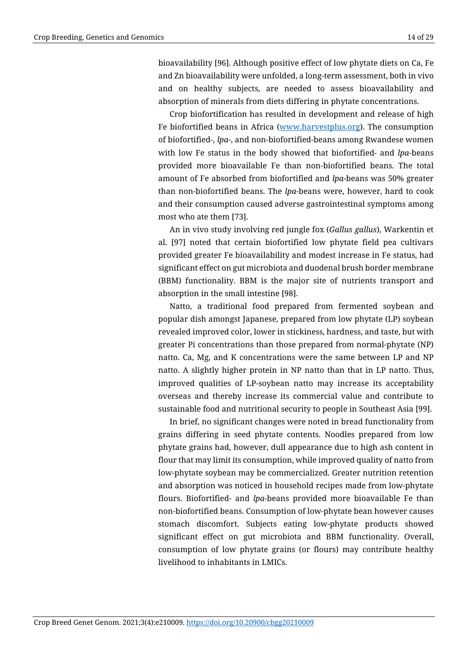bioavailability [96]. Although positive effect of low phytate diets on Ca, Fe and Zn bioavailability were unfolded, a long-term assessment, both in vivo and on healthy subjects, are needed to assess bioavailability and absorption of minerals from diets differing in phytate concentrations.

Crop biofortification has resulted in development and release of high Fe biofortified beans in Africa [\(www.harvestplus.org\)](http://www.harvestplus.org/). The consumption of biofortified-, *lpa*-, and non-biofortified-beans among Rwandese women with low Fe status in the body showed that biofortified- and *lpa*-beans provided more bioavailable Fe than non-biofortified beans. The total amount of Fe absorbed from biofortified and *lpa*-beans was 50% greater than non-biofortified beans. The *lpa*-beans were, however, hard to cook and their consumption caused adverse gastrointestinal symptoms among most who ate them [73].

An in vivo study involving red jungle fox (*Gallus gallus*), Warkentin et al. [97] noted that certain biofortified low phytate field pea cultivars provided greater Fe bioavailability and modest increase in Fe status, had significant effect on gut microbiota and duodenal brush border membrane (BBM) functionality. BBM is the major site of nutrients transport and absorption in the small intestine [98].

Natto, a traditional food prepared from fermented soybean and popular dish amongst Japanese, prepared from low phytate (LP) soybean revealed improved color, lower in stickiness, hardness, and taste, but with greater Pi concentrations than those prepared from normal-phytate (NP) natto. Ca, Mg, and K concentrations were the same between LP and NP natto. A slightly higher protein in NP natto than that in LP natto. Thus, improved qualities of LP-soybean natto may increase its acceptability overseas and thereby increase its commercial value and contribute to sustainable food and nutritional security to people in Southeast Asia [99].

In brief, no significant changes were noted in bread functionality from grains differing in seed phytate contents. Noodles prepared from low phytate grains had, however, dull appearance due to high ash content in flour that may limit its consumption, while improved quality of natto from low-phytate soybean may be commercialized. Greater nutrition retention and absorption was noticed in household recipes made from low-phytate flours. Biofortified- and *lpa*-beans provided more bioavailable Fe than non-biofortified beans. Consumption of low-phytate bean however causes stomach discomfort. Subjects eating low-phytate products showed significant effect on gut microbiota and BBM functionality. Overall, consumption of low phytate grains (or flours) may contribute healthy livelihood to inhabitants in LMICs.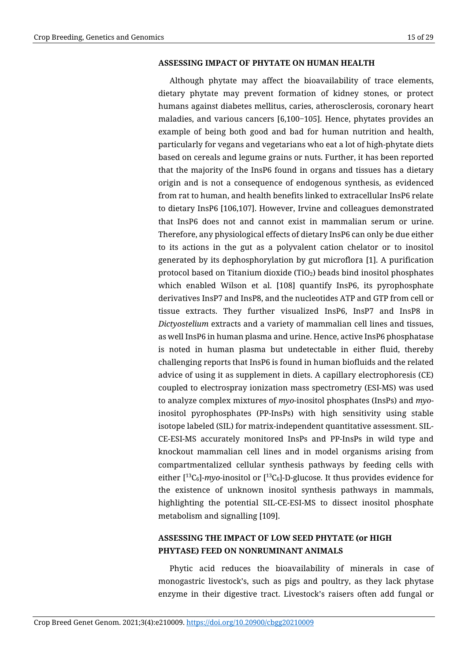#### **ASSESSING IMPACT OF PHYTATE ON HUMAN HEALTH**

Although phytate may affect the bioavailability of trace elements, dietary phytate may prevent formation of kidney stones, or protect humans against diabetes mellitus, caries, atherosclerosis, coronary heart maladies, and various cancers [6,100-105]. Hence, phytates provides an example of being both good and bad for human nutrition and health, particularly for vegans and vegetarians who eat a lot of high-phytate diets based on cereals and legume grains or nuts. Further, it has been reported that the majority of the InsP6 found in organs and tissues has a dietary origin and is not a consequence of endogenous synthesis, as evidenced from rat to human, and health benefits linked to extracellular InsP6 relate to dietary InsP6 [106,107]. However, Irvine and colleagues demonstrated that InsP6 does not and cannot exist in mammalian serum or urine. Therefore, any physiological effects of dietary InsP6 can only be due either to its actions in the gut as a polyvalent cation chelator or to inositol generated by its dephosphorylation by gut microflora [1]. A purification protocol based on Titanium dioxide (TiO<sub>2</sub>) beads bind inositol phosphates which enabled Wilson et al. [108] quantify InsP6, its pyrophosphate derivatives InsP7 and InsP8, and the nucleotides ATP and GTP from cell or tissue extracts. They further visualized InsP6, InsP7 and InsP8 in *Dictyostelium* extracts and a variety of mammalian cell lines and tissues, as well InsP6 in human plasma and urine. Hence, active InsP6 phosphatase is noted in human plasma but undetectable in either fluid, thereby challenging reports that InsP6 is found in human biofluids and the related advice of using it as supplement in diets. A capillary electrophoresis (CE) coupled to electrospray ionization mass spectrometry (ESI-MS) was used to analyze complex mixtures of *myo*-inositol phosphates (InsPs) and *myo*inositol pyrophosphates (PP-InsPs) with high sensitivity using stable isotope labeled (SIL) for matrix-independent quantitative assessment. SIL-CE-ESI-MS accurately monitored InsPs and PP-InsPs in wild type and knockout mammalian cell lines and in model organisms arising from compartmentalized cellular synthesis pathways by feeding cells with either  $[$ <sup>13</sup>C<sub>6</sub> $]$ -*myo*-inositol or  $[$ <sup>13</sup>C<sub>6</sub> $]$ -D-glucose. It thus provides evidence for the existence of unknown inositol synthesis pathways in mammals, highlighting the potential SIL-CE-ESI-MS to dissect inositol phosphate metabolism and signalling [109].

# **ASSESSING THE IMPACT OF LOW SEED PHYTATE (or HIGH PHYTASE) FEED ON NONRUMINANT ANIMALS**

Phytic acid reduces the bioavailability of minerals in case of monogastric livestock's, such as pigs and poultry, as they lack phytase enzyme in their digestive tract. Livestock's raisers often add fungal or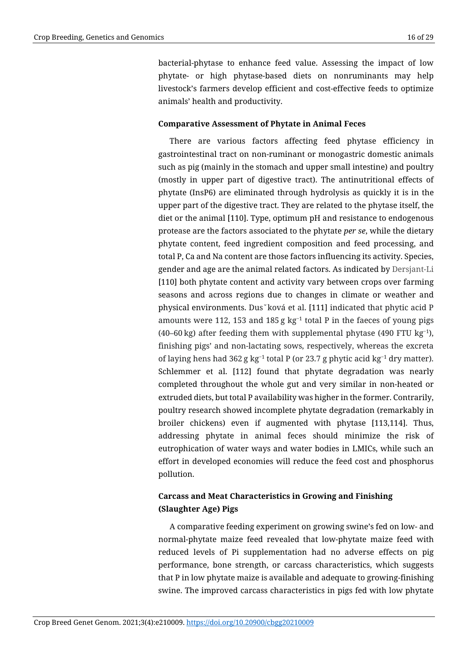bacterial-phytase to enhance feed value. Assessing the impact of low phytate- or high phytase-based diets on nonruminants may help livestock's farmers develop efficient and cost-effective feeds to optimize animals' health and productivity.

### **Comparative Assessment of Phytate in Animal Feces**

There are various factors affecting feed phytase efficiency in gastrointestinal tract on non-ruminant or monogastric domestic animals such as pig (mainly in the stomach and upper small intestine) and poultry (mostly in upper part of digestive tract). The antinutritional effects of phytate (InsP6) are eliminated through hydrolysis as quickly it is in the upper part of the digestive tract. They are related to the phytase itself, the diet or the animal [110]. Type, optimum pH and resistance to endogenous protease are the factors associated to the phytate *per se*, while the dietary phytate content, feed ingredient composition and feed processing, and total P, Ca and Na content are those factors influencing its activity. Species, gender and age are the animal related factors. As indicated by Dersjant-Li [110] both phytate content and activity vary between crops over farming seasons and across regions due to changes in climate or weather and physical environments. Dus˘ková et al. [111] indicated that phytic acid P amounts were 112, 153 and 185 g kg<sup>−</sup><sup>1</sup> total P in the faeces of young pigs (40–60 kg) after feeding them with supplemental phytase (490 FTU  $kg^{-1}$ ), finishing pigs' and non-lactating sows, respectively, whereas the excreta of laying hens had 362 g kg<sup>−</sup><sup>1</sup> total P (or 23.7 g phytic acid kg<sup>−</sup><sup>1</sup> dry matter). Schlemmer et al. [112] found that phytate degradation was nearly completed throughout the whole gut and very similar in non-heated or extruded diets, but total P availability was higher in the former. Contrarily, poultry research showed incomplete phytate degradation (remarkably in broiler chickens) even if augmented with phytase [113,114]. Thus, addressing phytate in animal feces should minimize the risk of eutrophication of water ways and water bodies in LMICs, while such an effort in developed economies will reduce the feed cost and phosphorus pollution.

# **Carcass and Meat Characteristics in Growing and Finishing (Slaughter Age) Pigs**

A comparative feeding experiment on growing swine's fed on low- and normal-phytate maize feed revealed that low-phytate maize feed with reduced levels of Pi supplementation had no adverse effects on pig performance, bone strength, or carcass characteristics, which suggests that P in low phytate maize is available and adequate to growing-finishing swine. The improved carcass characteristics in pigs fed with low phytate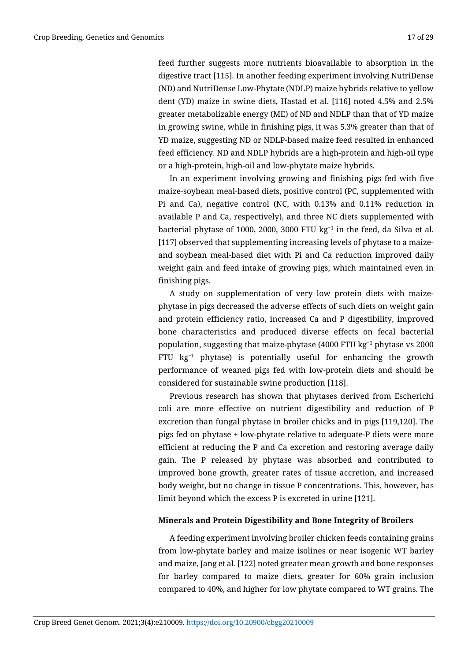feed further suggests more nutrients bioavailable to absorption in the digestive tract [115]. In another feeding experiment involving NutriDense (ND) and NutriDense Low-Phytate (NDLP) maize hybrids relative to yellow dent (YD) maize in swine diets, Hastad et al. [116] noted 4.5% and 2.5% greater metabolizable energy (ME) of ND and NDLP than that of YD maize in growing swine, while in finishing pigs, it was 5.3% greater than that of YD maize, suggesting ND or NDLP-based maize feed resulted in enhanced feed efficiency. ND and NDLP hybrids are a high-protein and high-oil type or a high-protein, high-oil and low-phytate maize hybrids.

In an experiment involving growing and finishing pigs fed with five maize-soybean meal-based diets, positive control (PC, supplemented with Pi and Ca), negative control (NC, with 0.13% and 0.11% reduction in available P and Ca, respectively), and three NC diets supplemented with bacterial phytase of 1000, 2000, 3000 FTU kg<sup>−</sup><sup>1</sup> in the feed, da Silva et al. [117] observed that supplementing increasing levels of phytase to a maizeand soybean meal-based diet with Pi and Ca reduction improved daily weight gain and feed intake of growing pigs, which maintained even in finishing pigs.

A study on supplementation of very low protein diets with maizephytase in pigs decreased the adverse effects of such diets on weight gain and protein efficiency ratio, increased Ca and P digestibility, improved bone characteristics and produced diverse effects on fecal bacterial population, suggesting that maize-phytase (4000 FTU kg<sup>-1</sup> phytase vs 2000 FTU kg<sup>−</sup><sup>1</sup> phytase) is potentially useful for enhancing the growth performance of weaned pigs fed with low-protein diets and should be considered for sustainable swine production [118].

Previous research has shown that phytases derived from Escherichi coli are more effective on nutrient digestibility and reduction of P excretion than fungal phytase in broiler chicks and in pigs [119,120]. The pigs fed on phytase + low-phytate relative to adequate-P diets were more efficient at reducing the P and Ca excretion and restoring average daily gain. The P released by phytase was absorbed and contributed to improved bone growth, greater rates of tissue accretion, and increased body weight, but no change in tissue P concentrations. This, however, has limit beyond which the excess P is excreted in urine [121].

#### **Minerals and Protein Digestibility and Bone Integrity of Broilers**

A feeding experiment involving broiler chicken feeds containing grains from low-phytate barley and maize isolines or near isogenic WT barley and maize, Jang et al. [122] noted greater mean growth and bone responses for barley compared to maize diets, greater for 60% grain inclusion compared to 40%, and higher for low phytate compared to WT grains. The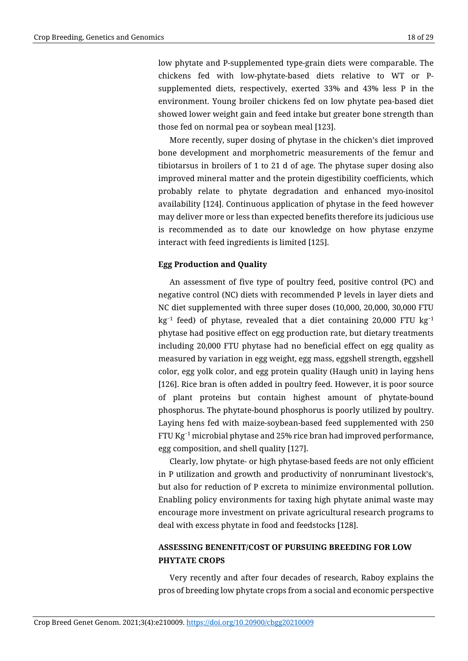low phytate and P-supplemented type-grain diets were comparable. The chickens fed with low-phytate-based diets relative to WT or Psupplemented diets, respectively, exerted 33% and 43% less P in the environment. Young broiler chickens fed on low phytate pea-based diet showed lower weight gain and feed intake but greater bone strength than those fed on normal pea or soybean meal [123].

More recently, super dosing of phytase in the chicken's diet improved bone development and morphometric measurements of the femur and tibiotarsus in broilers of 1 to 21 d of age. The phytase super dosing also improved mineral matter and the protein digestibility coefficients, which probably relate to phytate degradation and enhanced myo-inositol availability [124]. Continuous application of phytase in the feed however may deliver more or less than expected benefits therefore its judicious use is recommended as to date our knowledge on how phytase enzyme interact with feed ingredients is limited [125].

### **Egg Production and Quality**

An assessment of five type of poultry feed, positive control (PC) and negative control (NC) diets with recommended P levels in layer diets and NC diet supplemented with three super doses (10,000, 20,000, 30,000 FTU  $kg<sup>-1</sup>$  feed) of phytase, revealed that a diet containing 20,000 FTU kg<sup>-1</sup> phytase had positive effect on egg production rate, but dietary treatments including 20,000 FTU phytase had no beneficial effect on egg quality as measured by variation in egg weight, egg mass, eggshell strength, eggshell color, egg yolk color, and egg protein quality (Haugh unit) in laying hens [126]. Rice bran is often added in poultry feed. However, it is poor source of plant proteins but contain highest amount of phytate-bound phosphorus. The phytate-bound phosphorus is poorly utilized by poultry. Laying hens fed with maize-soybean-based feed supplemented with 250 FTU Kg<sup>−</sup><sup>1</sup> microbial phytase and 25% rice bran had improved performance, egg composition, and shell quality [127].

Clearly, low phytate- or high phytase-based feeds are not only efficient in P utilization and growth and productivity of nonruminant livestock's, but also for reduction of P excreta to minimize environmental pollution. Enabling policy environments for taxing high phytate animal waste may encourage more investment on private agricultural research programs to deal with excess phytate in food and feedstocks [128].

# **ASSESSING BENENFIT/COST OF PURSUING BREEDING FOR LOW PHYTATE CROPS**

Very recently and after four decades of research, Raboy explains the pros of breeding low phytate crops from a social and economic perspective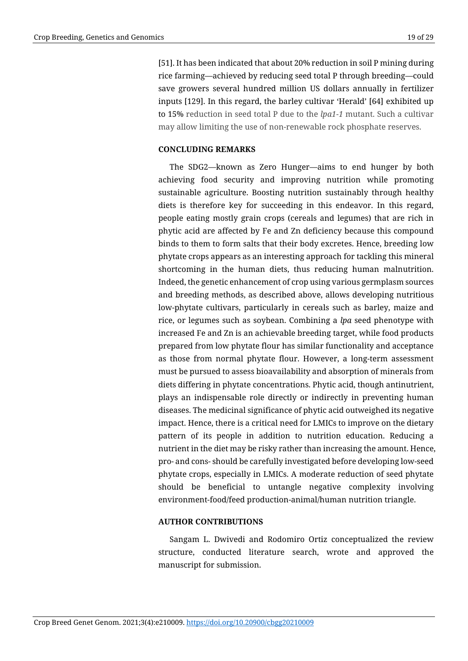[51]. It has been indicated that about 20% reduction in soil P mining during rice farming—achieved by reducing seed total P through breeding—could save growers several hundred million US dollars annually in fertilizer inputs [129]. In this regard, the barley cultivar 'Herald' [64] exhibited up to 15% reduction in seed total P due to the *lpa1-1* mutant. Such a cultivar may allow limiting the use of non-renewable rock phosphate reserves.

#### **CONCLUDING REMARKS**

The SDG2—known as Zero Hunger—aims to end hunger by both achieving food security and improving nutrition while promoting sustainable agriculture. Boosting nutrition sustainably through healthy diets is therefore key for succeeding in this endeavor. In this regard, people eating mostly grain crops (cereals and legumes) that are rich in phytic acid are affected by Fe and Zn deficiency because this compound binds to them to form salts that their body excretes. Hence, breeding low phytate crops appears as an interesting approach for tackling this mineral shortcoming in the human diets, thus reducing human malnutrition. Indeed, the genetic enhancement of crop using various germplasm sources and breeding methods, as described above, allows developing nutritious low-phytate cultivars, particularly in cereals such as barley, maize and rice, or legumes such as soybean. Combining a *lpa* seed phenotype with increased Fe and Zn is an achievable breeding target, while food products prepared from low phytate flour has similar functionality and acceptance as those from normal phytate flour. However, a long-term assessment must be pursued to assess bioavailability and absorption of minerals from diets differing in phytate concentrations. Phytic acid, though antinutrient, plays an indispensable role directly or indirectly in preventing human diseases. The medicinal significance of phytic acid outweighed its negative impact. Hence, there is a critical need for LMICs to improve on the dietary pattern of its people in addition to nutrition education. Reducing a nutrient in the diet may be risky rather than increasing the amount. Hence, pro- and cons- should be carefully investigated before developing low-seed phytate crops, especially in LMICs. A moderate reduction of seed phytate should be beneficial to untangle negative complexity involving environment-food/feed production-animal/human nutrition triangle.

#### **AUTHOR CONTRIBUTIONS**

Sangam L. Dwivedi and Rodomiro Ortiz conceptualized the review structure, conducted literature search, wrote and approved the manuscript for submission.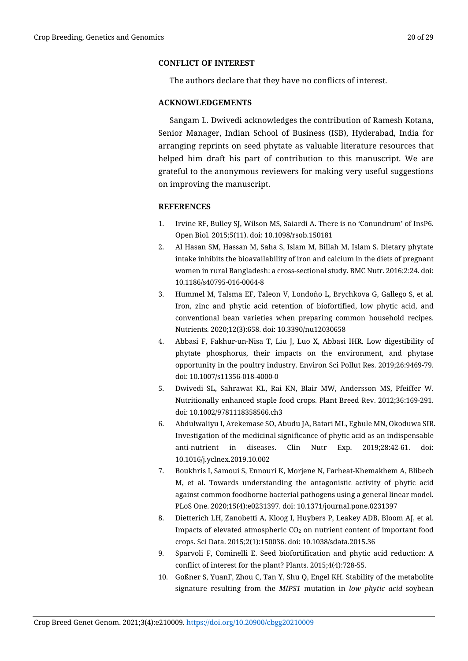### **CONFLICT OF INTEREST**

The authors declare that they have no conflicts of interest.

#### **ACKNOWLEDGEMENTS**

Sangam L. Dwivedi acknowledges the contribution of Ramesh Kotana, Senior Manager, Indian School of Business (ISB), Hyderabad, India for arranging reprints on seed phytate as valuable literature resources that helped him draft his part of contribution to this manuscript. We are grateful to the anonymous reviewers for making very useful suggestions on improving the manuscript.

### **REFERENCES**

- 1. Irvine RF, Bulley SJ, Wilson MS, Saiardi A. There is no 'Conundrum' of InsP6. Open Biol. 2015;5(11). doi: 10.1098/rsob.150181
- 2. Al Hasan SM, Hassan M, Saha S, Islam M, Billah M, Islam S. Dietary phytate intake inhibits the bioavailability of iron and calcium in the diets of pregnant women in rural Bangladesh: a cross-sectional study. BMC Nutr. 2016;2:24. doi: 10.1186/s40795-016-0064-8
- 3. Hummel M, Talsma EF, Taleon V, Londoño L, Brychkova G, Gallego S, et al. Iron, zinc and phytic acid retention of biofortified, low phytic acid, and conventional bean varieties when preparing common household recipes. Nutrients*.* 2020;12(3):658. doi: 10.3390/nu12030658
- 4. Abbasi F, Fakhur-un-Nisa T, Liu J, Luo X, Abbasi IHR. Low digestibility of phytate phosphorus, their impacts on the environment, and phytase opportunity in the poultry industry. Environ Sci Pollut Res. 2019;26:9469-79. doi: 10.1007/s11356-018-4000-0
- 5. Dwivedi SL, Sahrawat KL, Rai KN, Blair MW, Andersson MS, Pfeiffer W. Nutritionally enhanced staple food crops. Plant Breed Rev. 2012;36:169-291. [doi: 10.1002/9781118358566.ch3](https://doi.org/10.1002/9781118358566.ch3)
- 6. Abdulwaliyu I, Arekemase SO, Abudu JA, Batari ML, Egbule MN, Okoduwa SIR. Investigation of the medicinal significance of phytic acid as an indispensable anti-nutrient in diseases. [Clin Nutr Exp.](https://www.sciencedirect.com/science/journal/23529393) 2019;28:42-61. [doi:](https://doi.org/10.1016/j.yclnex.2019.10.002)  [10.1016/j.yclnex.2019.10.002](https://doi.org/10.1016/j.yclnex.2019.10.002)
- 7. Boukhris I, Samoui S, Ennouri K, Morjene N, Farheat-Khemakhem A, Blibech M, et al. Towards understanding the antagonistic activity of phytic acid against common foodborne bacterial pathogens using a general linear model. PLoS One. 2020;15(4):e0231397. doi: 10.1371/journal.pone.0231397
- 8. Dietterich LH, Zanobetti A, Kloog I, Huybers P, Leakey ADB, Bloom AJ, et al. Impacts of elevated atmospheric CO2 on nutrient content of important food crops. Sci Data. 2015;2(1):150036. doi: 10.1038/sdata.2015.36
- 9. Sparvoli F, Cominelli E. Seed biofortification and phytic acid reduction: A conflict of interest for the plant? Plants. 2015;4(4):728-55.
- 10. Goßner S, YuanF, Zhou C, Tan Y, Shu Q, Engel KH. Stability of the metabolite signature resulting from the *MIPS1* mutation in *low phytic acid* soybean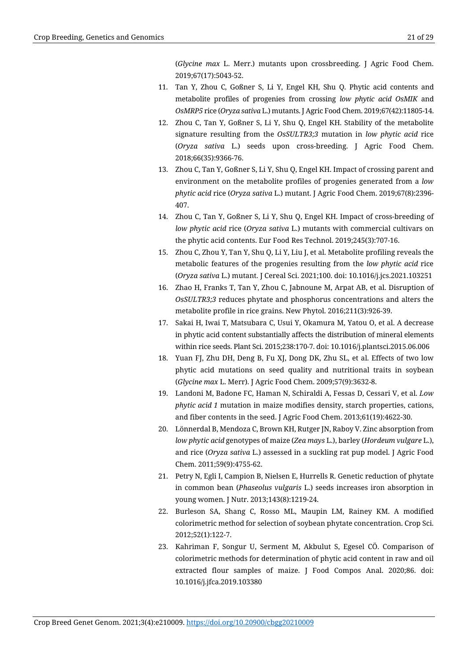(*Glycine max* L. Merr.) mutants upon crossbreeding. J Agric Food Chem. 2019;67(17):5043-52.

- 11. Tan Y, Zhou C, Goßner S, Li Y, Engel KH, Shu Q. Phytic acid contents and metabolite profiles of progenies from crossing *low phytic acid OsMIK* and *OsMRP5* rice (*Oryza sativa* L.) mutants. J Agric Food Chem. 2019;67(42):11805-14.
- 12. Zhou C, Tan Y, Goßner S, Li Y, Shu Q, Engel KH. Stability of the metabolite signature resulting from the *OsSULTR3;3* mutation in *low phytic acid* rice (*Oryza sativa* L.) seeds upon cross-breeding. J Agric Food Chem. 2018;66(35):9366-76.
- 13. Zhou C, Tan Y, Goßner S, Li Y, Shu Q, Engel KH. Impact of crossing parent and environment on the metabolite profiles of progenies generated from a *low phytic acid* rice (*Oryza sativa* L.) mutant. J Agric Food Chem. 2019;67(8):2396- 407.
- 14. Zhou C, Tan Y, Goßner S, Li Y, Shu Q, Engel KH. Impact of cross-breeding of *low phytic acid* rice (*Oryza sativa* L.) mutants with commercial cultivars on the phytic acid contents. Eur Food Res Technol. 2019;245(3):707-16.
- 15. Zhou C, Zhou Y, Tan Y, Shu Q, Li Y, Liu J, et al. Metabolite profiling reveals the metabolic features of the progenies resulting from the *low phytic acid* rice (*Oryza sativa* L.) mutant. J Cereal Sci. 2021;100[. doi: 10.1016/j.jcs.2021.103251](https://doi.org/10.1016/j.jcs.2021.103251)
- 16. Zhao H, Franks T, Tan Y, Zhou C, Jabnoune M, Arpat AB, et al. Disruption of *OsSULTR3;3* reduces phytate and phosphorus concentrations and alters the metabolite profile in rice grains. New Phytol. 2016;211(3):926-39.
- 17. Sakai H, Iwai T, Matsubara C, Usui Y, Okamura M, Yatou O, et al. A decrease in phytic acid content substantially affects the distribution of mineral elements within rice seeds. Plant Sci. 2015;238:170-7. doi: 10.1016/j.plantsci.2015.06.006
- 18. Yuan FJ, Zhu DH, Deng B, Fu XJ, Dong DK, Zhu SL, et al. Effects of two low phytic acid mutations on seed quality and nutritional traits in soybean (*Glycine max* L. Merr). J Agric Food Chem. 2009;57(9):3632-8.
- 19. Landoni M, Badone FC, Haman N, Schiraldi A, Fessas D, Cessari V, et al. *Low phytic acid 1* mutation in maize modifies density, starch properties, cations, and fiber contents in the seed. J Agric Food Chem. 2013;61(19):4622-30.
- 20. Lönnerdal B, Mendoza C, Brown KH, Rutger JN, Raboy V. Zinc absorption from *low phytic acid* genotypes of maize (*Zea mays* L.), barley (*Hordeum vulgare* L.), and rice (*Oryza sativa* L.) assessed in a suckling rat pup model. J Agric Food Chem. 2011;59(9):4755-62.
- 21. Petry N, Egli I, Campion B, Nielsen E, Hurrells R. Genetic reduction of phytate in common bean (*Phaseolus vulgaris* L.) seeds increases iron absorption in young women. J Nutr. 2013;143(8):1219-24.
- 22. Burleson SA, Shang C, Rosso ML, Maupin LM, Rainey KM. A modified colorimetric method for selection of soybean phytate concentration. Crop Sci. 2012;52(1):122-7.
- 23. Kahriman F, Songur U, Serment M, Akbulut S, Egesel CÖ. Comparison of colorimetric methods for determination of phytic acid content in raw and oil extracted flour samples of maize. [J Food Compos Anal.](https://www.sciencedirect.com/science/journal/08891575) 2020;86. doi: [10.1016/j.jfca.2019.103380](https://doi.org/10.1016/j.jfca.2019.103380)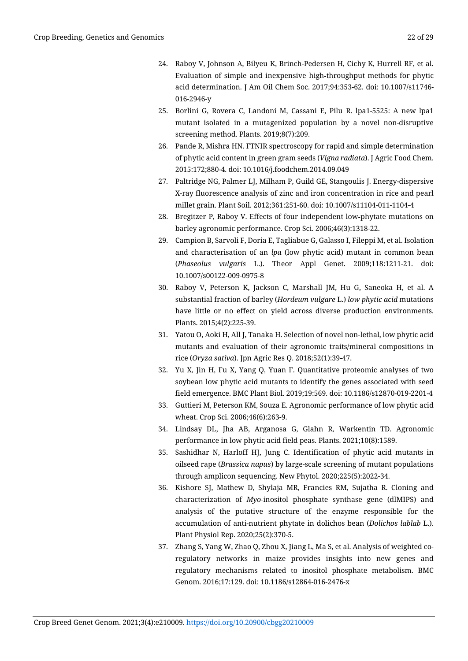- 24. Raboy V, Johnson A, Bilyeu K, Brinch-Pedersen H, Cichy K, Hurrell RF, et al. Evaluation of simple and inexpensive high‑throughput methods for phytic acid determination. J Am Oil Chem Soc. 2017;94:353-62. [doi: 10.1007/s11746-](https://doi.org/10.1007/s11746-016-2946-y) [016-2946-y](https://doi.org/10.1007/s11746-016-2946-y)
- 25. Borlini G, Rovera C, Landoni M, Cassani E, Pilu R. lpa1-5525: A new lpa1 mutant isolated in a mutagenized population by a novel non-disruptive screening method. Plants. 2019;8(7):209.
- 26. Pande R, Mishra HN. FTNIR spectroscopy for rapid and simple determination of phytic acid content in green gram seeds (*Vigna radiata*). J Agric Food Chem. 2015:172;880-4. doi: 10.1016/j.foodchem.2014.09.049
- 27. Paltridge NG, Palmer LJ, Milham P, Guild GE, Stangoulis J. Energy-dispersive X-ray fluorescence analysis of zinc and iron concentration in rice and pearl millet grain. Plant Soil. 2012;361:251-60. doi: 10.1007/s11104-011-1104-4
- 28. Bregitzer P, Raboy V. Effects of four independent low-phytate mutations on barley agronomic performance. Crop Sci. 2006;46(3):1318-22.
- 29. Campion B, Sarvoli F, Doria E, Tagliabue G, Galasso I, Fileppi M, et al. Isolation and characterisation of an *lpa* (low phytic acid) mutant in common bean (*Phaseolus vulgaris* L.). Theor Appl Genet. 2009;118:1211-21. doi: 10.1007/s00122-009-0975-8
- 30. Raboy V, Peterson K, Jackson C, Marshall JM, Hu G, Saneoka H, et al. A substantial fraction of barley (*Hordeum vulgare* L.) *low phytic acid* mutations have little or no effect on yield across diverse production environments. Plants. 2015;4(2):225-39.
- 31. Yatou O, Aoki H, All J, Tanaka H. Selection of novel non-lethal, low phytic acid mutants and evaluation of their agronomic traits/mineral compositions in rice (*Oryza sativa*). Jpn Agric Res Q. 2018;52(1):39-47.
- 32. Yu X, Jin H, Fu X, Yang Q, Yuan F. Quantitative proteomic analyses of two soybean low phytic acid mutants to identify the genes associated with seed field emergence. BMC Plant Biol. 2019;19:569. doi: 10.1186/s12870-019-2201-4
- 33. Guttieri M, Peterson KM, Souza E. Agronomic performance of low phytic acid wheat. Crop Sci. 2006;46(6):263-9.
- 34. Lindsay DL, Jha AB, Arganosa G, Glahn R, Warkentin TD. Agronomic performance in low phytic acid field peas. Plants. 2021;10(8):1589.
- 35. Sashidhar N, Harloff HJ, Jung C. Identification of phytic acid mutants in oilseed rape (*Brassica napus*) by large-scale screening of mutant populations through amplicon sequencing. New Phytol. 2020;225(5):2022-34.
- 36. Kishore SJ, Mathew D, Shylaja MR, Francies RM, Sujatha R. Cloning and characterization of *Myo*-inositol phosphate synthase gene (dlMIPS) and analysis of the putative structure of the enzyme responsible for the accumulation of anti-nutrient phytate in dolichos bean (*Dolichos lablab* L.). Plant Physiol Rep. 2020;25(2):370-5.
- 37. Zhang S, Yang W, Zhao Q, Zhou X, Jiang L, Ma S, et al. Analysis of weighted coregulatory networks in maize provides insights into new genes and regulatory mechanisms related to inositol phosphate metabolism. BMC Genom. 2016;17:129. doi: 10.1186/s12864-016-2476-x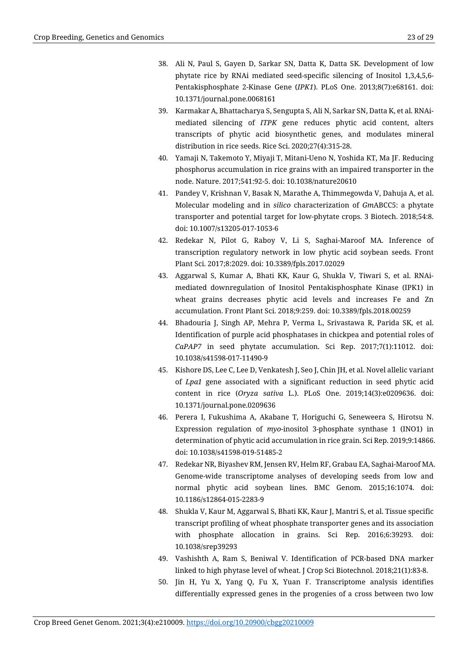- 38. Ali N, Paul S, Gayen D, Sarkar SN, Datta K, Datta SK. Development of low phytate rice by RNAi mediated seed-specific silencing of Inositol 1,3,4,5,6- Pentakisphosphate 2-Kinase Gene (*IPK1*). PLoS One. 2013;8(7):e68161. doi: 10.1371/journal.pone.0068161
- 39. Karmakar A, Bhattacharya S, Sengupta S, Ali N, Sarkar SN, Datta K, et al. RNAimediated silencing of *ITPK* gene reduces phytic acid content, alters transcripts of phytic acid biosynthetic genes, and modulates mineral distribution in rice seeds. Rice Sci. 2020;27(4):315-28.
- 40. Yamaji N, Takemoto Y, Miyaji T, Mitani-Ueno N, Yoshida KT, Ma JF. Reducing phosphorus accumulation in rice grains with an impaired transporter in the node. Nature. 2017;541:92-5. doi: 10.1038/nature20610
- 41. Pandey V, Krishnan V, Basak N, Marathe A, Thimmegowda V, Dahuja A, et al. Molecular modeling and in *silico* characterization of *Gm*ABCC5: a phytate transporter and potential target for low-phytate crops. 3 Biotech. 2018;54:8. doi: 10.1007/s13205-017-1053-6
- 42. Redekar N, Pilot G, Raboy V, Li S, Saghai-Maroof MA. Inference of transcription regulatory network in low phytic acid soybean seeds. Front Plant Sci. 2017;8:2029. doi: 10.3389/fpls.2017.02029
- 43. Aggarwal S, Kumar A, Bhati KK, Kaur G, Shukla V, Tiwari S, et al. RNAimediated downregulation of Inositol Pentakisphosphate Kinase (IPK1) in wheat grains decreases phytic acid levels and increases Fe and Zn accumulation. Front Plant Sci. 2018;9:259. doi: 10.3389/fpls.2018.00259
- 44. Bhadouria J, Singh AP, Mehra P, Verma L, Srivastawa R, Parida SK, et al. Identification of purple acid phosphatases in chickpea and potential roles of *CaPAP7* in seed phytate accumulation. Sci Rep. 2017;7(1):11012. doi: 10.1038/s41598-017-11490-9
- 45. Kishore DS, Lee C, Lee D, Venkatesh J, Seo J, Chin JH, et al. Novel allelic variant of *Lpa1* gene associated with a significant reduction in seed phytic acid content in rice (*Oryza sativa* L.). PLoS One. 2019;14(3):e0209636. doi: 10.1371/journal.pone.0209636
- 46. Perera I, Fukushima A, Akabane T, Horiguchi G, Seneweera S, Hirotsu N. Expression regulation of *myo*-inositol 3-phosphate synthase 1 (INO1) in determination of phytic acid accumulation in rice grain. Sci Rep. 2019;9:14866. doi: 10.1038/s41598-019-51485-2
- 47. Redekar NR, Biyashev RM, Jensen RV, Helm RF, Grabau EA, Saghai-Maroof MA. Genome-wide transcriptome analyses of developing seeds from low and normal phytic acid soybean lines. BMC Genom. 2015;16:1074. doi: 10.1186/s12864-015-2283-9
- 48. Shukla V, Kaur M, Aggarwal S, Bhati KK, Kaur J, Mantri S, et al. Tissue specific transcript profiling of wheat phosphate transporter genes and its association with phosphate allocation in grains. Sci Rep. 2016;6:39293. doi: 10.1038/srep39293
- 49. Vashishth A, Ram S, Beniwal V. Identification of PCR-based DNA marker linked to high phytase level of wheat. J Crop Sci Biotechnol. 2018;21(1):83-8.
- 50. Jin H, Yu X, Yang Q, Fu X, Yuan F. Transcriptome analysis identifies differentially expressed genes in the progenies of a cross between two low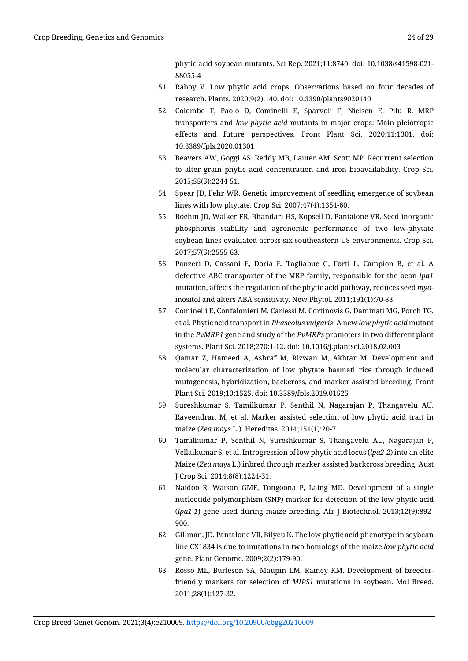phytic acid soybean mutants. [Sci Rep.](https://www.nature.com/srep) 2021;11:8740. [doi: 10.1038/s41598-021-](https://doi.org/10.1038/s41598-021-88055-4) [88055-4](https://doi.org/10.1038/s41598-021-88055-4)

- 51. Raboy V. Low phytic acid crops: Observations based on four decades of research. Plants. 2020;9(2):140. doi: 10.3390/plants9020140
- 52. Colombo F, Paolo D, Cominelli E, Sparvoli F, Nielsen E, Pilu R. MRP transporters and *low phytic acid* mutants in major crops: Main pleiotropic effects and future perspectives. Front Plant Sci. 2020;11:1301. doi: 10.3389/fpls.2020.01301
- 53. Beavers AW, Goggi AS, Reddy MB, Lauter AM, Scott MP. Recurrent selection to alter grain phytic acid concentration and iron bioavailability. Crop Sci. 2015;55(5):2244-51.
- 54. Spear JD, Fehr WR. Genetic improvement of seedling emergence of soybean lines with low phytate. Crop Sci. 2007;47(4):1354-60.
- 55. Boehm JD, Walker FR, Bhandari HS, Kopsell D, Pantalone VR. Seed inorganic phosphorus stability and agronomic performance of two low-phytate soybean lines evaluated across six southeastern US environments. Crop Sci. 2017;57(5):2555-63.
- 56. Panzeri D, Cassani E, Doria E, Tagliabue G, Forti L, Campion B, et al. A defective ABC transporter of the MRP family, responsible for the bean *lpa1* mutation, affects the regulation of the phytic acid pathway, reduces seed *myo*inositol and alters ABA sensitivity. New Phytol. 2011;191(1):70-83.
- 57. Cominelli E, Confalonieri M, Carlessi M, Cortinovis G, Daminati MG, Porch TG, et al. Phytic acid transport in *Phaseolus vulgaris*: A new *low phytic acid* mutant in the *PvMRP1* gene and study of the *PvMRPs* promoters in two different plant systems. Plant Sci. 2018;270:1-12. doi: 10.1016/j.plantsci.2018.02.003
- 58. Qamar Z, Hameed A, Ashraf M, Rizwan M, Akhtar M. Development and molecular characterization of low phytate basmati rice through induced mutagenesis, hybridization, backcross, and marker assisted breeding. Front Plant Sci. 2019;10:1525. doi: 10.3389/fpls.2019.01525
- 59. Sureshkumar S, Tamilkumar P, Senthil N, Nagarajan P, Thangavelu AU, Raveendran M, et al. Marker assisted selection of low phytic acid trait in maize (*Zea mays* L.). Hereditas. 2014;151(1):20-7.
- 60. Tamilkumar P, Senthil N, Sureshkumar S, Thangavelu AU, Nagarajan P, Vellaikumar S, et al. Introgression of low phytic acid locus (*lpa2-2*) into an elite Maize (*Zea mays* L.) inbred through marker assisted backcross breeding. Aust J Crop Sci. 2014;8(8):1224-31.
- 61. Naidoo R, Watson GMF, Tongoona P, Laing MD. Development of a single nucleotide polymorphism (SNP) marker for detection of the low phytic acid (*lpa1-1*) gene used during maize breeding. Afr J Biotechnol. 2013;12(9):892- 900.
- 62. Gillman, JD, Pantalone VR, Bilyeu K. The low phytic acid phenotype in soybean line CX1834 is due to mutations in two homologs of the maize *low phytic acid* gene. Plant Genome. 2009;2(2):179-90.
- 63. Rosso ML, Burleson SA, Maupin LM, Rainey KM. Development of breederfriendly markers for selection of *MIPS1* mutations in soybean. Mol Breed. 2011;28(1):127-32.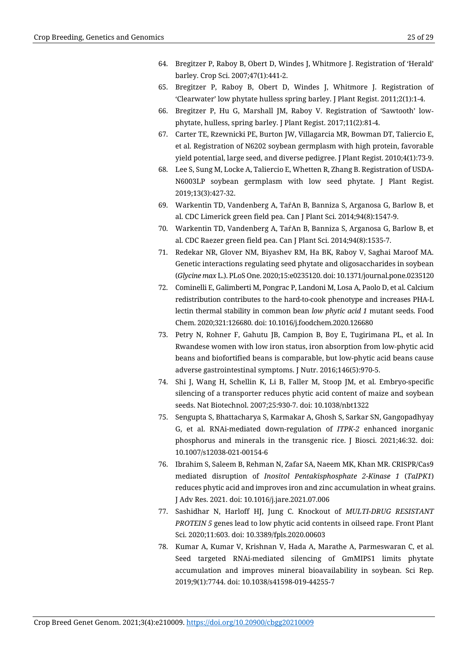- 64. Bregitzer P, Raboy B, Obert D, Windes J, Whitmore J. Registration of 'Herald' barley. Crop Sci. 2007;47(1):441-2.
- 65. Bregitzer P, Raboy B, Obert D, Windes J, Whitmore J. Registration of 'Clearwater' low phytate hulless spring barley. J Plant Regist. 2011;2(1):1-4.
- 66. Bregitzer P, Hu G, Marshall JM, Raboy V. Registration of 'Sawtooth' low‐ phytate, hulless, spring barley. J Plant Regist. 2017;11(2):81-4.
- 67. Carter TE, Rzewnicki PE, Burton JW, Villagarcia MR, Bowman DT, Taliercio E, et al. Registration of N6202 soybean germplasm with high protein, favorable yield potential, large seed, and diverse pedigree. J Plant Regist. 2010;4(1):73-9.
- 68. Lee S, Sung M, Locke A, Taliercio E, Whetten R, Zhang B. Registration of USDA‐ N6003LP soybean germplasm with low seed phytate. J Plant Regist. 2019;13(3):427-32.
- 69. Warkentin TD, Vandenberg A, TaŕAn B, Banniza S, Arganosa G, Barlow B, et al. CDC Limerick green field pea. Can J Plant Sci. 2014;94(8):1547-9.
- 70. Warkentin TD, Vandenberg A, TaŕAn B, Banniza S, Arganosa G, Barlow B, et al[. CDC Raezer green field pea.](https://bioone.org/journals/canadian-journal-of-plant-science/volume-94/issue-8/CJPS-2014-202/CDC-Raezer-green-field-pea/10.1139/CJPS-2014-202.full) Can J Plant Sci. 2014;94(8):1535-7.
- 71. Redekar NR, Glover NM, Biyashev RM, Ha BK, Raboy V, Saghai Maroof MA. Genetic interactions regulating seed phytate and oligosaccharides in soybean (*Glycine max* L.). PLoS One. 2020;15:e0235120. doi: 10.1371/journal.pone.0235120
- 72. Cominelli E, Galimberti M, Pongrac P, Landoni M, Losa A, Paolo D, et al. Calcium redistribution contributes to the hard-to-cook phenotype and increases PHA-L lectin thermal stability in common bean *low phytic acid 1* mutant seeds. Food Chem. 2020;321:126680. doi: 10.1016/j.foodchem.2020.126680
- 73. Petry N, Rohner F, Gahutu JB, Campion B, Boy E, Tugirimana PL, et al. In Rwandese women with low iron status, iron absorption from low-phytic acid beans and biofortified beans is comparable, but low-phytic acid beans cause adverse gastrointestinal symptoms. J Nutr. 2016;146(5):970-5.
- 74. Shi J, Wang H, Schellin K, Li B, Faller M, Stoop JM, et al. Embryo-specific silencing of a transporter reduces phytic acid content of maize and soybean seeds. Nat Biotechnol. 2007;25:930-7. doi: 10.1038/nbt1322
- 75. Sengupta S, Bhattacharya S, Karmakar A, Ghosh S, Sarkar SN, Gangopadhyay G, et al. RNAi-mediated down-regulation of *ITPK-2* enhanced inorganic phosphorus and minerals in the transgenic rice. J Biosci. 2021;46:32. doi: 10.1007/s12038-021-00154-6
- 76. Ibrahim S, Saleem B, Rehman N, Zafar SA, Naeem MK, Khan MR. CRISPR/Cas9 mediated disruption of *Inositol Pentakisphosphate 2-Kinase 1* (*TaIPK1*) reduces phytic acid and improves iron and zinc accumulation in wheat grains. J Adv Res. 2021. [doi: 10.1016/j.jare.2021.07.006](https://doi.org/10.1016/j.jare.2021.07.006)
- 77. Sashidhar N, Harloff HJ, Jung C. Knockout of *MULTI-DRUG RESISTANT PROTEIN 5* genes lead to low phytic acid contents in oilseed rape. Front Plant Sci. 2020;11:603. doi: 10.3389/fpls.2020.00603
- 78. Kumar A, Kumar V, Krishnan V, Hada A, Marathe A, Parmeswaran C, et al. Seed targeted RNAi-mediated silencing of GmMIPS1 limits phytate accumulation and improves mineral bioavailability in soybean. Sci Rep. 2019;9(1):7744. doi: 10.1038/s41598-019-44255-7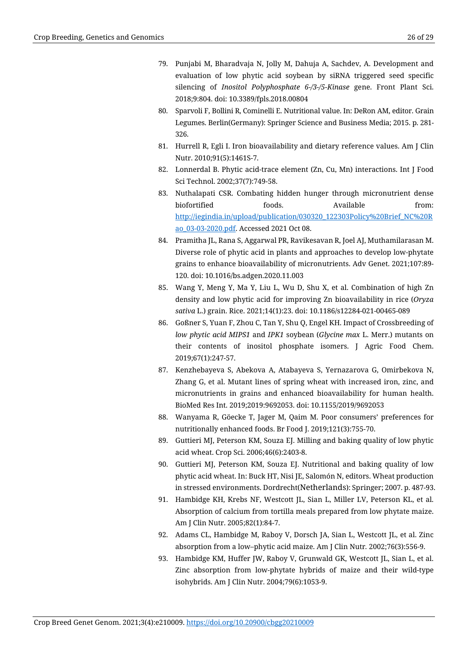- 79. Punjabi M, Bharadvaja N, Jolly M, Dahuja A, Sachdev, A. Development and evaluation of low phytic acid soybean by siRNA triggered seed specific silencing of *Inositol Polyphosphate 6-/3-/5-Kinase* gene. Front Plant Sci. 2018;9:804. doi: 10.3389/fpls.2018.00804
- 80. Sparvoli F, Bollini R, Cominelli E. Nutritional value. In: DeRon AM, editor. Grain Legumes. Berlin(Germany): Springer Science and Business Media; 2015. p. 281- 326.
- 81. Hurrell R, Egli I. Iron bioavailability and dietary reference values. Am J Clin Nutr. 2010;91(5):1461S-7.
- 82. Lonnerdal B. Phytic acid-trace element (Zn, Cu, Mn) interactions. Int J Food Sci Technol. 2002;37(7):749-58.
- 83. Nuthalapati CSR. Combating hidden hunger through micronutrient dense biofortified foods. Available from: [http://iegindia.in/upload/publication/030320\\_122303Policy%20Brief\\_NC%20R](http://iegindia.in/upload/publication/030320_122303Policy%20Brief_NC%20Rao_03-03-2020.pdf) [ao\\_03-03-2020.pdf.](http://iegindia.in/upload/publication/030320_122303Policy%20Brief_NC%20Rao_03-03-2020.pdf) Accessed 2021 Oct 08.
- 84. Pramitha JL, Rana S, Aggarwal PR, Ravikesavan R, Joel AJ, Muthamilarasan M. Diverse role of phytic acid in plants and approaches to develop low-phytate grains to enhance bioavailability of micronutrients. Adv Genet. 2021;107:89- 120. doi: 10.1016/bs.adgen.2020.11.003
- 85. Wang Y, Meng Y, Ma Y, Liu L, Wu D, Shu X, et al. Combination of high Zn density and low phytic acid for improving Zn bioavailability in rice (*Oryza sativa* L.) grain. Rice. 2021;14(1):23[. doi: 10.1186/s12284-021-00465-089](https://doi.org/10.1186/s12284-021-00465-089)
- 86. Goßner S, Yuan F, Zhou C, Tan Y, Shu Q, Engel KH. Impact of Crossbreeding of *low phytic acid MIPS1* and *IPK1* soybean (*Glycine max* L. Merr.) mutants on their contents of inositol phosphate isomers. J Agric Food Chem. 2019;67(1):247-57.
- 87. Kenzhebayeva S, Abekova A, Atabayeva S, Yernazarova G, Omirbekova N, Zhang G, et al. Mutant lines of spring wheat with increased iron, zinc, and micronutrients in grains and enhanced bioavailability for human health. BioMed Res Int. 2019;2019:9692053[. doi: 10.1155/2019/9692053](https://doi.org/10.1155/2019/9692053)
- 88. Wanyama R, Göecke T, Jager M, Qaim M. Poor consumers' preferences for nutritionally enhanced foods. Br Food J. 2019;121(3):755-70.
- 89. Guttieri MJ, Peterson KM, Souza EJ. Milling and baking quality of low phytic acid wheat. Crop Sci. 2006;46(6):2403-8.
- 90. Guttieri MJ, Peterson KM, Souza EJ. Nutritional and baking quality of low phytic acid wheat. In: Buck HT, Nisi JE, Salomón N, editors. Wheat production in stressed environments. Dordrecht(Netherlands): Springer; 2007. p. 487-93.
- 91. Hambidge KH, Krebs NF, Westcott JL, Sian L, Miller LV, Peterson KL, et al. Absorption of calcium from tortilla meals prepared from low phytate maize. Am J Clin Nutr. 2005;82(1):84-7.
- 92. Adams CL, Hambidge M, Raboy V, Dorsch JA, Sian L, Westcott JL, et al. Zinc absorption from a low–phytic acid maize. Am J Clin Nutr*.* 2002;76(3):556-9.
- 93. Hambidge KM, Huffer JW, Raboy V, Grunwald GK, Westcott JL, Sian L, et al. Zinc absorption from low-phytate hybrids of maize and their wild-type isohybrids. Am J Clin Nutr. 2004;79(6):1053-9.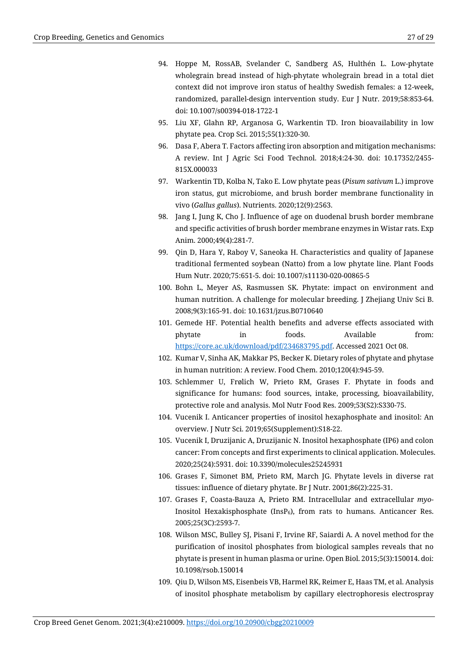- 94. Hoppe M, RossAB, Svelander C, Sandberg AS, Hulthén L. Low-phytate wholegrain bread instead of high-phytate wholegrain bread in a total diet context did not improve iron status of healthy Swedish females: a 12-week, randomized, parallel-design intervention study. Eur J Nutr. 2019;58:853-64. doi: 10.1007/s00394-018-1722-1
- 95. Liu XF, Glahn RP, Arganosa G, Warkentin TD. Iron bioavailability in low phytate pea. Crop Sci. 2015;55(1):320-30.
- 96. Dasa F, Abera T. Factors affecting iron absorption and mitigation mechanisms: A review. Int J Agric Sci Food Technol. 2018;4:24-30. doi: 10.17352/2455- 815X.000033
- 97. Warkentin TD, Kolba N, Tako E. Low phytate peas (*Pisum sativum* L.) improve iron status, gut microbiome, and brush border membrane functionality in vivo (*Gallus gallus*). Nutrients. 2020;12(9):2563.
- 98. Jang I, Jung K, Cho J. Influence of age on duodenal brush border membrane and specific activities of brush border membrane enzymes in Wistar rats. Exp Anim. 2000;49(4):281-7.
- 99. Qin D, Hara Y, Raboy V, Saneoka H. Characteristics and quality of Japanese traditional fermented soybean (Natto) from a low phytate line. Plant Foods Hum Nutr. 2020;75:651-5. doi: 10.1007/s11130-020-00865-5
- 100. Bohn L, Meyer AS, Rasmussen SK. Phytate: impact on environment and human nutrition. A challenge for molecular breeding. J Zhejiang Univ Sci B. 2008;9(3):165-91. doi: 10.1631/jzus.B0710640
- 101. Gemede HF. Potential health benefits and adverse effects associated with phytate in foods. Available from: [https://core.ac.uk/download/pdf/234683795.pdf.](https://core.ac.uk/download/pdf/234683795.pdf) Accessed 2021 Oct 08.
- 102. Kumar V, Sinha AK, Makkar PS, Becker K. Dietary roles of phytate and phytase in human nutrition: A review. Food Chem. 2010;120(4):945-59.
- 103. Schlemmer U, Frølich W, Prieto RM, Grases F. Phytate in foods and significance for humans: food sources, intake, processing, bioavailability, protective role and analysis. Mol Nutr Food Res. 2009;53(S2):S330-75.
- 104. Vucenik I. Anticancer properties of inositol hexaphosphate and inositol: An overview. J Nutr Sci. 2019;65(Supplement):S18-22.
- 105. Vucenik I, Druzijanic A, Druzijanic N. Inositol hexaphosphate (IP6) and colon cancer: From concepts and first experiments to clinical application. Molecules. 2020;25(24):5931. doi: 10.3390/molecules25245931
- 106. Grases F, Simonet BM, Prieto RM, March JG. Phytate levels in diverse rat tissues: influence of dietary phytate. Br J Nutr. 2001;86(2):225-31.
- 107. Grases F, Coasta-Bauza A, Prieto RM. Intracellular and extracellular *myo*-Inositol Hexakisphosphate (InsP6), from rats to humans. Anticancer Res. 2005;25(3C):2593-7.
- 108. Wilson MSC, Bulley SJ, Pisani F, Irvine RF, Saiardi A. A novel method for the purification of inositol phosphates from biological samples reveals that no phytate is present in human plasma or urine[. Open Biol.](https://www.ncbi.nlm.nih.gov/pmc/articles/PMC4389793/) 2015;5(3):150014. doi: [10.1098/rsob.150014](https://dx.doi.org/10.1098%2Frsob.150014)
- 109. Qiu D, Wilson MS, Eisenbeis VB, Harmel RK, Reimer E, Haas TM, et al. Analysis of inositol phosphate metabolism by capillary electrophoresis electrospray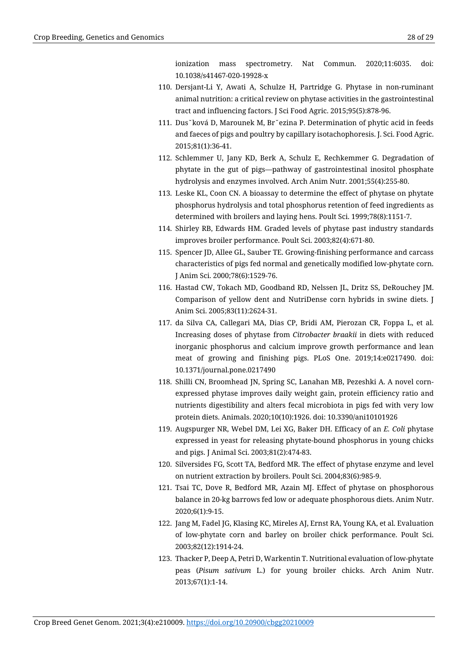ionization mass spectrometry. Nat Commun. 2020;11:6035. [doi:](https://doi.org/10.1038/s41467-020-19928-x)  [10.1038/s41467-020-19928-x](https://doi.org/10.1038/s41467-020-19928-x)

- 110. Dersjant-Li Y, Awati A, Schulze H, Partridge G. Phytase in non-ruminant animal nutrition: a critical review on phytase activities in the gastrointestinal tract and influencing factors. J Sci Food Agric. 2015;95(5):878-96.
- 111. Dus˘ková D, Marounek M, Br˘ezina P. Determination of phytic acid in feeds and faeces of pigs and poultry by capillary isotachophoresis. J. Sci. Food Agric. 2015;81(1):36-41.
- 112. Schlemmer U, Jany KD, Berk A, Schulz E, Rechkemmer G. Degradation of phytate in the gut of pigs—pathway of gastrointestinal inositol phosphate hydrolysis and enzymes involved. Arch Anim Nutr. 2001;55(4):255-80.
- 113. Leske KL, Coon CN. A bioassay to determine the effect of phytase on phytate phosphorus hydrolysis and total phosphorus retention of feed ingredients as determined with broilers and laying hens. Poult Sci. 1999;78(8):1151-7.
- 114. Shirley RB, Edwards HM. Graded levels of phytase past industry standards improves broiler performance. Poult Sci. 2003;82(4):671-80.
- 115. Spencer JD, Allee GL, Sauber TE. Growing-finishing performance and carcass characteristics of pigs fed normal and genetically modified low-phytate corn. J Anim Sci. 2000;78(6):1529-76.
- 116. Hastad CW, Tokach MD, Goodband RD, Nelssen JL, Dritz SS, DeRouchey JM. Comparison of yellow dent and NutriDense corn hybrids in swine diets. J Anim Sci. 2005;83(11):2624-31.
- 117. da Silva CA, Callegari MA, Dias CP, Bridi AM, Pierozan CR, Foppa L, et al. Increasing doses of phytase from *Citrobacter braakii* in diets with reduced inorganic phosphorus and calcium improve growth performance and lean meat of growing and finishing pigs. PLoS One. 2019;14:e0217490. doi: 10.1371/journal.pone.0217490
- 118. Shilli CN, Broomhead JN, Spring SC, Lanahan MB, Pezeshki A. A novel cornexpressed phytase improves daily weight gain, protein efficiency ratio and nutrients digestibility and alters fecal microbiota in pigs fed with very low protein diets. Animals. 2020;10(10):1926. doi: 10.3390/ani10101926
- 119. Augspurger NR, Webel DM, Lei XG, Baker DH. Efficacy of an *E. Coli* phytase expressed in yeast for releasing phytate-bound phosphorus in young chicks and pigs. J Animal Sci. 2003;81(2):474-83.
- 120. Silversides FG, Scott TA, Bedford MR. The effect of phytase enzyme and level on nutrient extraction by broilers. Poult Sci. 2004;83(6):985-9.
- 121. Tsai TC, Dove R, Bedford MR, Azain MJ. Effect of phytase on phosphorous balance in 20-kg barrows fed low or adequate phosphorous diets. Anim Nutr. 2020;6(1):9-15.
- 122. Jang M, Fadel JG, Klasing KC, Mireles AJ, Ernst RA, Young KA, et al. Evaluation of low-phytate corn and barley on broiler chick performance. Poult Sci. 2003;82(12):1914-24.
- 123. Thacker P, Deep A, Petri D, Warkentin T. Nutritional evaluation of low-phytate peas (*Pisum sativum* L.) for young broiler chicks. Arch Anim Nutr. 2013;67(1):1-14.